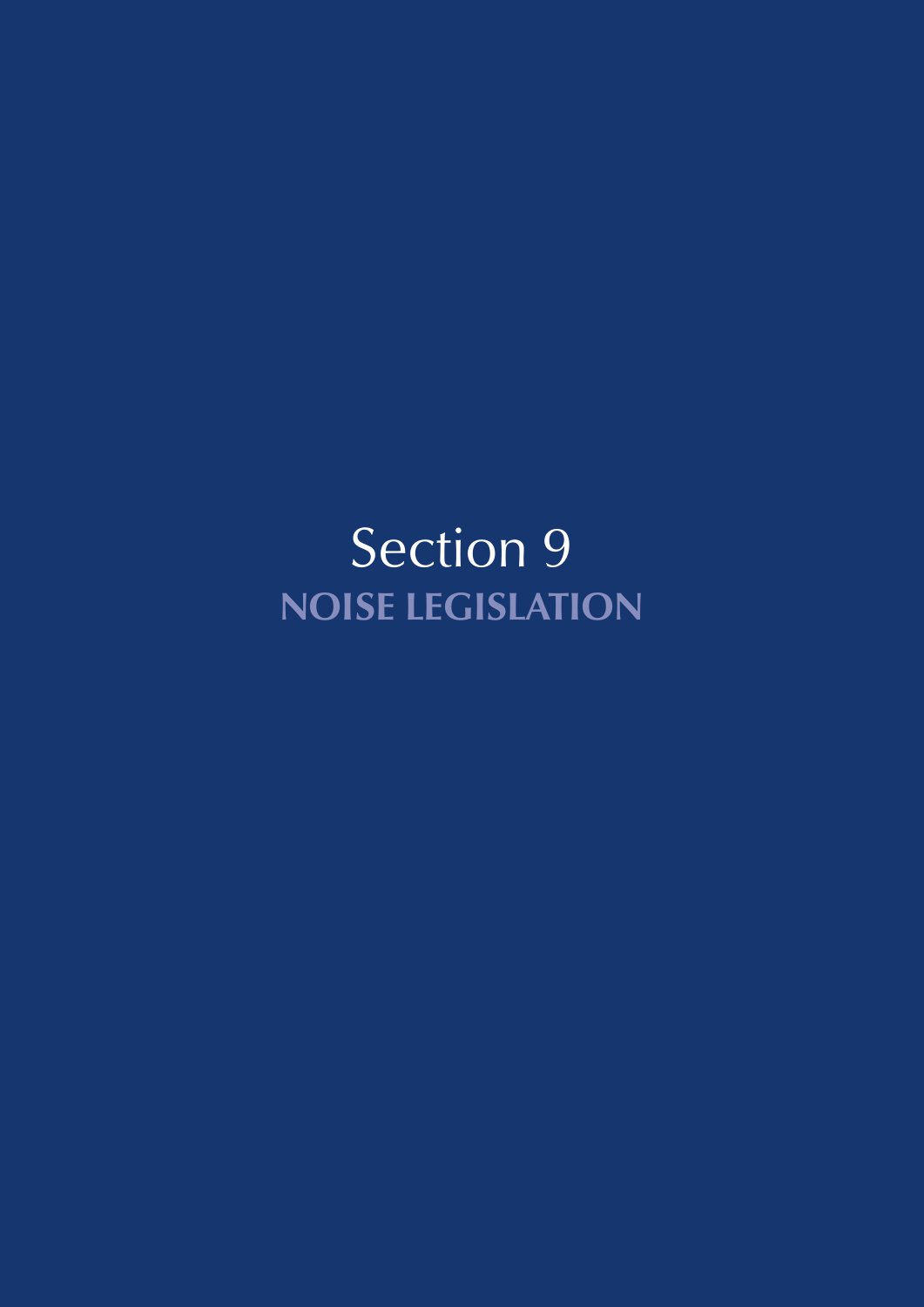# Section 9 **NOISE LEGISLATION**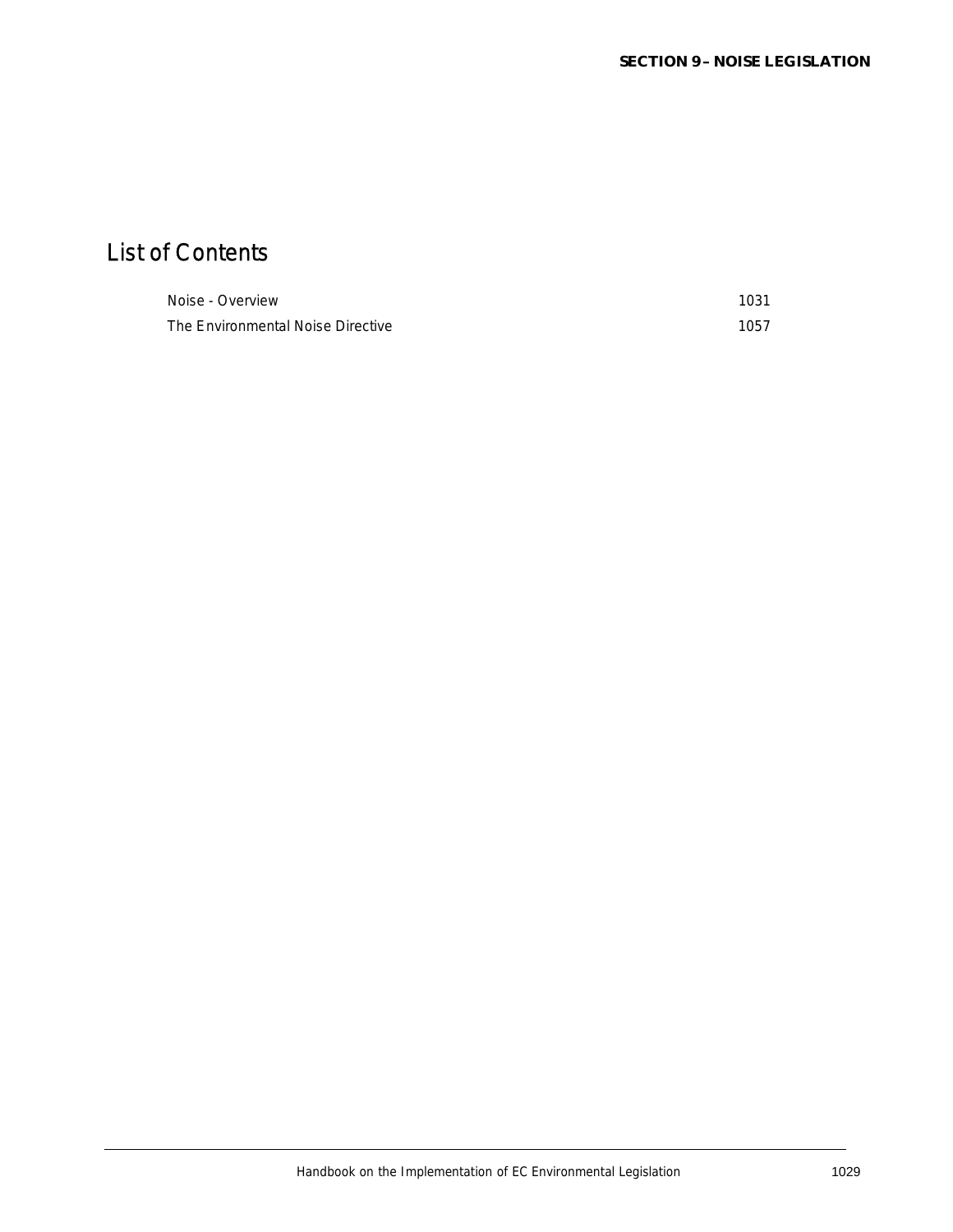# List of Contents

| Noise - Overview                  | 1031 |
|-----------------------------------|------|
| The Environmental Noise Directive | 1057 |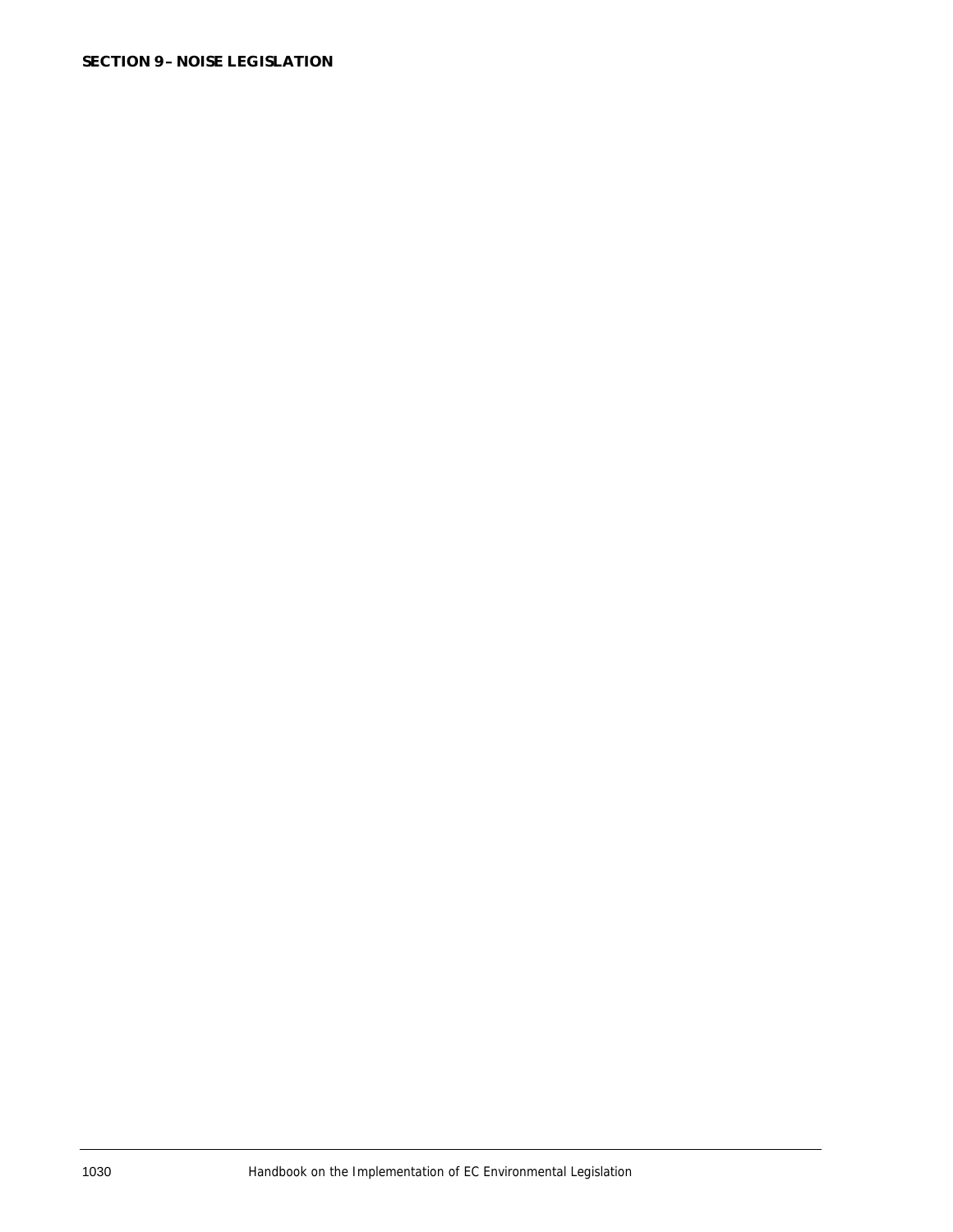#### SECTION 9 – NOISE LEGISLATION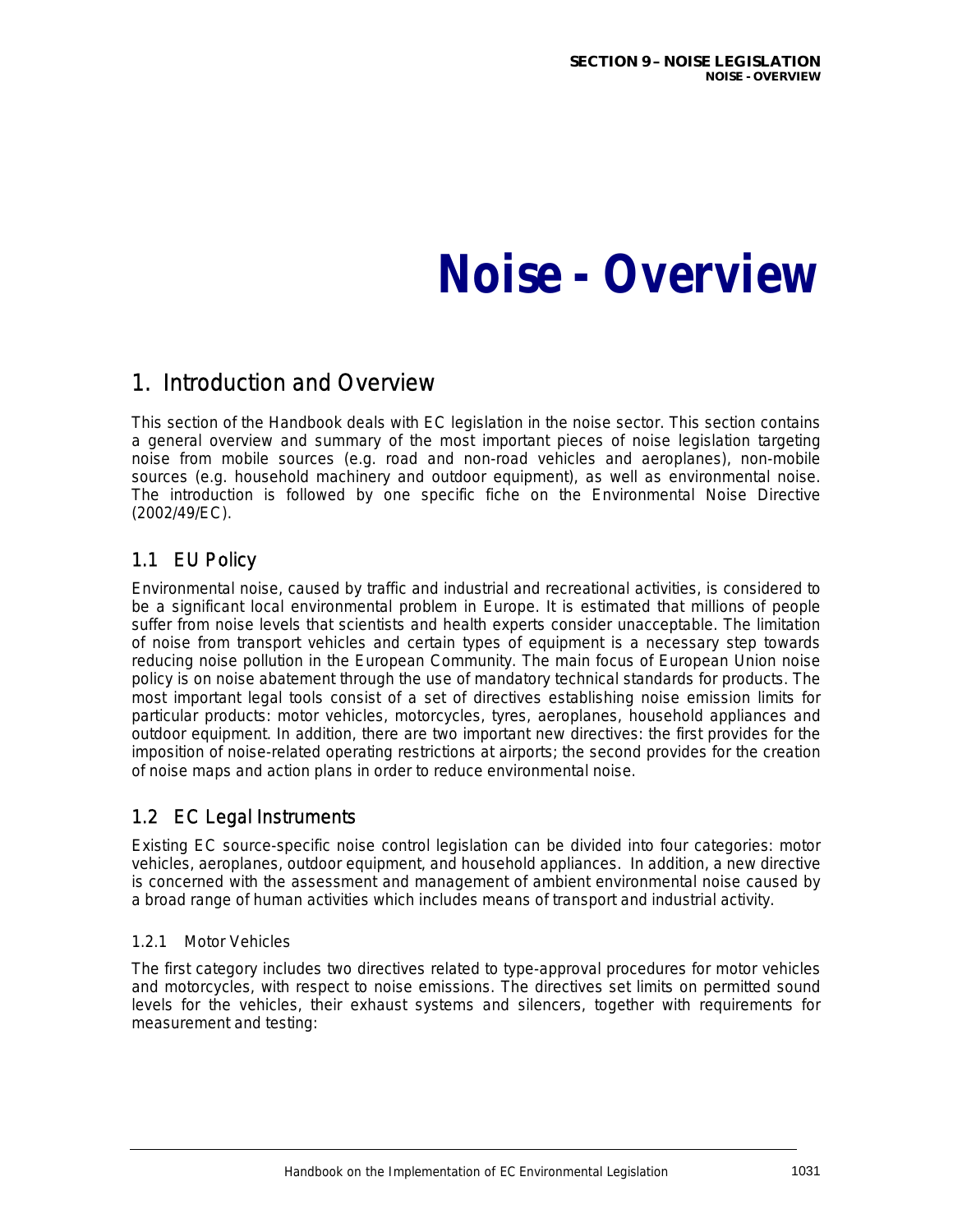# **Noise - Overview**

# <span id="page-4-0"></span>1. Introduction and Overview

This section of the Handbook deals with EC legislation in the noise sector. This section contains a general overview and summary of the most important pieces of noise legislation targeting noise from mobile sources (e.g. road and non-road vehicles and aeroplanes), non-mobile sources (e.g. household machinery and outdoor equipment), as well as environmental noise. The introduction is followed by one specific fiche on the Environmental Noise Directive [\(2002/49/EC\).](#page-30-0)

# 1.1 EU Policy

Environmental noise, caused by traffic and industrial and recreational activities, is considered to be a significant local environmental problem in Europe. It is estimated that millions of people suffer from noise levels that scientists and health experts consider unacceptable. The limitation of noise from transport vehicles and certain types of equipment is a necessary step towards reducing noise pollution in the European Community. The main focus of European Union noise policy is on noise abatement through the use of mandatory technical standards for products. The most important legal tools consist of a set of directives establishing noise emission limits for particular products: motor vehicles, motorcycles, tyres, aeroplanes, household appliances and outdoor equipment. In addition, there are two important new directives: the first provides for the imposition of noise-related operating restrictions at airports; the second provides for the creation of noise maps and action plans in order to reduce environmental noise.

# 1.2 EC Legal Instruments

Existing EC source-specific noise control legislation can be divided into four categories: motor vehicles, aeroplanes, outdoor equipment, and household appliances. In addition, a new directive is concerned with the assessment and management of ambient environmental noise caused by a broad range of human activities which includes means of transport and industrial activity.

## 1.2.1 Motor Vehicles

The first category includes two directives related to type-approval procedures for motor vehicles and motorcycles, with respect to noise emissions. The directives set limits on permitted sound levels for the vehicles, their exhaust systems and silencers, together with requirements for measurement and testing: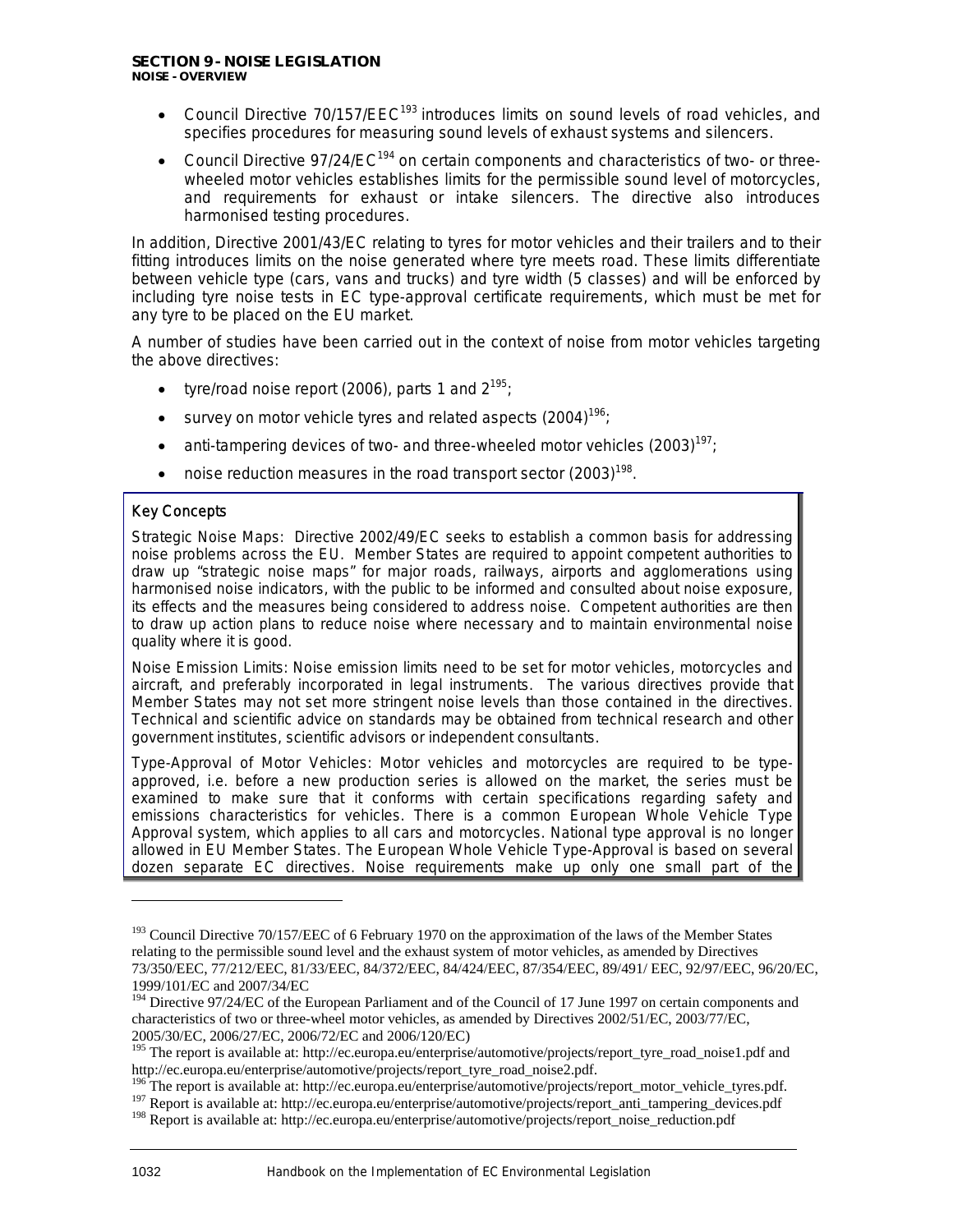- Council Directive 70/157/EEC<sup>193</sup> introduces limits on sound levels of road vehicles, and specifies procedures for measuring sound levels of exhaust systems and silencers.
- Council Directive 97/24/EC<sup>194</sup> on certain components and characteristics of two- or threewheeled motor vehicles establishes limits for the permissible sound level of motorcycles, and requirements for exhaust or intake silencers. The directive also introduces harmonised testing procedures.

In addition, Directive 2001/43/EC relating to tyres for motor vehicles and their trailers and to their fitting introduces limits on the noise generated where tyre meets road. These limits differentiate between vehicle type (cars, vans and trucks) and tyre width (5 classes) and will be enforced by including tyre noise tests in EC type-approval certificate requirements, which must be met for any tyre to be placed on the EU market.

A number of studies have been carried out in the context of noise from motor vehicles targeting the above directives:

- tyre/road noise report (2006), parts 1 and  $2^{195}$ ;
- survey on motor vehicle tyres and related aspects  $(2004)^{196}$ ;
- anti-tampering devices of two- and three-wheeled motor vehicles  $(2003)^{197}$ ;
- noise reduction measures in the road transport sector (2003)<sup>198</sup>.

#### Key Concepts

Strategic Noise Maps: Directive 2002/49/EC seeks to establish a common basis for addressing noise problems across the EU. Member States are required to appoint competent authorities to draw up "strategic noise maps" for major roads, railways, airports and agglomerations using harmonised noise indicators, with the public to be informed and consulted about noise exposure, its effects and the measures being considered to address noise. Competent authorities are then to draw up action plans to reduce noise where necessary and to maintain environmental noise quality where it is good.

Noise Emission Limits: Noise emission limits need to be set for motor vehicles, motorcycles and aircraft, and preferably incorporated in legal instruments. The various directives provide that Member States may not set more stringent noise levels than those contained in the directives. Technical and scientific advice on standards may be obtained from technical research and other government institutes, scientific advisors or independent consultants.

Type-Approval of Motor Vehicles: Motor vehicles and motorcycles are required to be typeapproved, i.e. before a new production series is allowed on the market, the series must be examined to make sure that it conforms with certain specifications regarding safety and emissions characteristics for vehicles. There is a common European Whole Vehicle Type Approval system, which applies to all cars and motorcycles. National type approval is no longer allowed in EU Member States. The European Whole Vehicle Type-Approval is based on several dozen separate EC directives. Noise requirements make up only one small part of the

l

<sup>&</sup>lt;sup>193</sup> Council Directive 70/157/EEC of 6 February 1970 on the approximation of the laws of the Member States relating to the permissible sound level and the exhaust system of motor vehicles, as amended by Directives 73/350/EEC, 77/212/EEC, 81/33/EEC, 84/372/EEC, 84/424/EEC, 87/354/EEC, 89/491/ EEC, 92/97/EEC, 96/20/EC, 1999/101/EC and 2007/34/EC

<sup>&</sup>lt;sup>194</sup> Directive 97/24/EC of the European Parliament and of the Council of 17 June 1997 on certain components and characteristics of two or three-wheel motor vehicles, as amended by Directives 2002/51/EC, 2003/77/EC, 2005/30/EC, 2006/27/EC, 2006/72/EC and 2006/120/EC)

<sup>195</sup> The report is available at: http://ec.europa.eu/enterprise/automotive/projects/report\_tyre\_road\_noise1.pdf and http://ec.europa.eu/enterprise/automotive/projects/report\_tyre\_road\_noise2.pdf.

<sup>&</sup>lt;sup>196</sup> The report is available at: http://ec.europa.eu/enterprise/automotive/projects/report\_motor\_vehicle\_tyres.pdf.<br><sup>197</sup> Report is available at: http://ec.europa.eu/enterprise/automotive/projects/report\_anti\_tampering\_d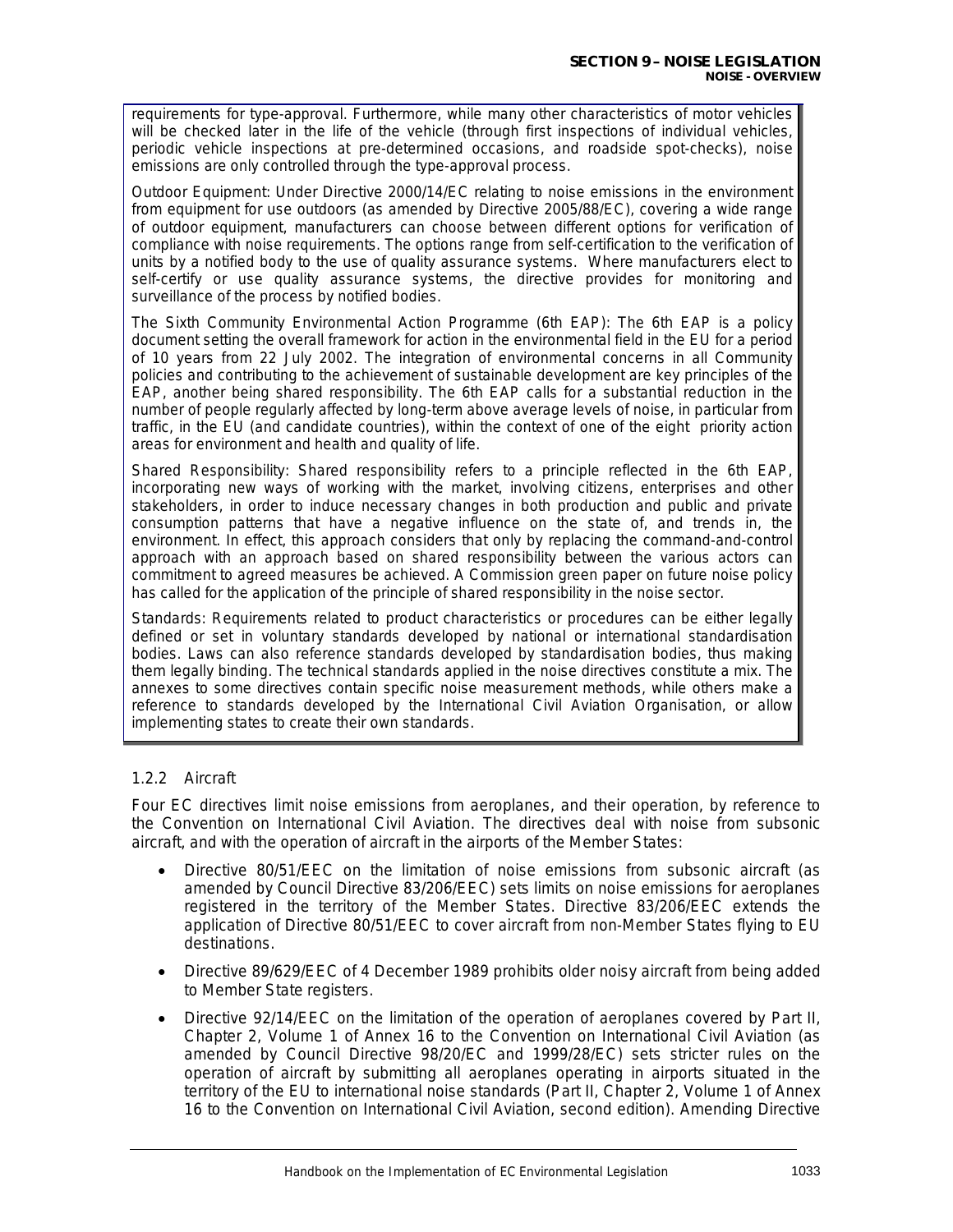requirements for type-approval. Furthermore, while many other characteristics of motor vehicles will be checked later in the life of the vehicle (through first inspections of individual vehicles, periodic vehicle inspections at pre-determined occasions, and roadside spot-checks), noise emissions are only controlled through the type-approval process.

Outdoor Equipment: Under Directive 2000/14/EC relating to noise emissions in the environment from equipment for use outdoors (as amended by Directive 2005/88/EC), covering a wide range of outdoor equipment, manufacturers can choose between different options for verification of compliance with noise requirements. The options range from self-certification to the verification of units by a notified body to the use of quality assurance systems. Where manufacturers elect to self-certify or use quality assurance systems, the directive provides for monitoring and surveillance of the process by notified bodies.

The Sixth Community Environmental Action Programme (6th EAP): The 6th EAP is a policy document setting the overall framework for action in the environmental field in the EU for a period of 10 years from 22 July 2002. The integration of environmental concerns in all Community policies and contributing to the achievement of sustainable development are key principles of the EAP, another being shared responsibility. The 6th EAP calls for a substantial reduction in the number of people regularly affected by long-term above average levels of noise, in particular from traffic, in the EU (and candidate countries), within the context of one of the eight priority action areas for environment and health and quality of life.

Shared Responsibility: Shared responsibility refers to a principle reflected in the 6th EAP, incorporating new ways of working with the market, involving citizens, enterprises and other stakeholders, in order to induce necessary changes in both production and public and private consumption patterns that have a negative influence on the state of, and trends in, the environment. In effect, this approach considers that only by replacing the command-and-control approach with an approach based on shared responsibility between the various actors can commitment to agreed measures be achieved. A Commission green paper on future noise policy has called for the application of the principle of shared responsibility in the noise sector.

Standards: Requirements related to product characteristics or procedures can be either legally defined or set in voluntary standards developed by national or international standardisation bodies. Laws can also reference standards developed by standardisation bodies, thus making them legally binding. The technical standards applied in the noise directives constitute a mix. The annexes to some directives contain specific noise measurement methods, while others make a reference to standards developed by the International Civil Aviation Organisation, or allow implementing states to create their own standards.

#### 1.2.2 Aircraft

Four EC directives limit noise emissions from aeroplanes, and their operation, by reference to the Convention on International Civil Aviation. The directives deal with noise from subsonic aircraft, and with the operation of aircraft in the airports of the Member States:

- Directive 80/51/EEC on the limitation of noise emissions from subsonic aircraft (as amended by Council Directive 83/206/EEC) sets limits on noise emissions for aeroplanes registered in the territory of the Member States. Directive 83/206/EEC extends the application of Directive 80/51/EEC to cover aircraft from non-Member States flying to EU destinations.
- Directive 89/629/EEC of 4 December 1989 prohibits older noisy aircraft from being added to Member State registers.
- Directive 92/14/EEC on the limitation of the operation of aeroplanes covered by Part II, Chapter 2, Volume 1 of Annex 16 to the Convention on International Civil Aviation (as amended by Council Directive 98/20/EC and 1999/28/EC) sets stricter rules on the operation of aircraft by submitting all aeroplanes operating in airports situated in the territory of the EU to international noise standards (Part II, Chapter 2, Volume 1 of Annex 16 to the Convention on International Civil Aviation, second edition). Amending Directive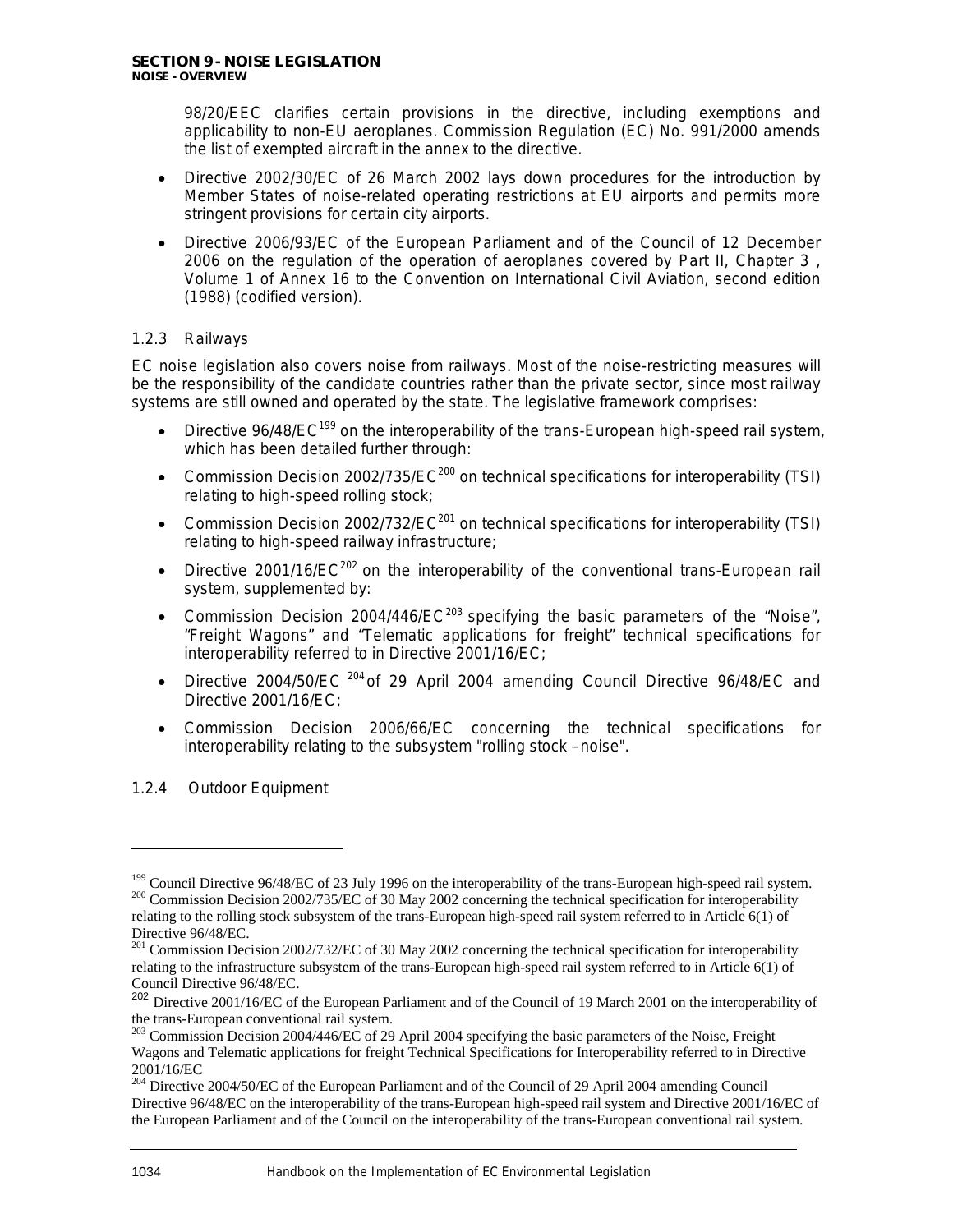98/20/EEC clarifies certain provisions in the directive, including exemptions and applicability to non-EU aeroplanes. Commission Regulation (EC) No. 991/2000 amends the list of exempted aircraft in the annex to the directive.

- Directive 2002/30/EC of 26 March 2002 lays down procedures for the introduction by Member States of noise-related operating restrictions at EU airports and permits more stringent provisions for certain city airports.
- Directive 2006/93/EC of the European Parliament and of the Council of 12 December 2006 on the regulation of the operation of aeroplanes covered by Part II, Chapter 3 , Volume 1 of Annex 16 to the Convention on International Civil Aviation, second edition (1988) (codified version).

#### 1.2.3 Railways

EC noise legislation also covers noise from railways. Most of the noise-restricting measures will be the responsibility of the candidate countries rather than the private sector, since most railway systems are still owned and operated by the state. The legislative framework comprises:

- Directive 96/48/EC<sup>199</sup> on the interoperability of the trans-European high-speed rail system, which has been detailed further through:
- Commission Decision 2002/735/EC<sup>200</sup> on technical specifications for interoperability (TSI) relating to high-speed rolling stock;
- Commission Decision 2002/732/ $EC^{201}$  on technical specifications for interoperability (TSI) relating to high-speed railway infrastructure;
- Directive 2001/16/EC<sup>202</sup> on the interoperability of the conventional trans-European rail system, supplemented by:
- Commission Decision 2004/446/ $EC^{203}$  specifying the basic parameters of the "Noise", "Freight Wagons" and "Telematic applications for freight" technical specifications for interoperability referred to in Directive 2001/16/EC;
- Directive 2004/50/EC  $^{204}$  of 29 April 2004 amending Council Directive 96/48/EC and Directive 2001/16/EC;
- Commission Decision 2006/66/EC concerning the technical specifications for interoperability relating to the subsystem "rolling stock – noise".
- 1.2.4 Outdoor Equipment

 $\overline{a}$ 

<sup>&</sup>lt;sup>199</sup> Council Directive 96/48/EC of 23 July 1996 on the interoperability of the trans-European high-speed rail system.<br><sup>200</sup> Commission Decision 2002/735/EC of 30 May 2002 concerning the technical specification for intero

relating to the rolling stock subsystem of the trans-European high-speed rail system referred to in Article 6(1) of Directive 96/48/EC.

<sup>&</sup>lt;sup>201</sup> Commission Decision 2002/732/EC of 30 May 2002 concerning the technical specification for interoperability relating to the infrastructure subsystem of the trans-European high-speed rail system referred to in Article 6(1) of Council Directive 96/48/EC.

<sup>&</sup>lt;sup>202</sup> Directive 2001/16/EC of the European Parliament and of the Council of 19 March 2001 on the interoperability of the trans-European conventional rail system.<br><sup>203</sup> Commission Decision 2004/446/EC of 29 April 2004 specifying the basic parameters of the Noise, Freight

Wagons and Telematic applications for freight Technical Specifications for Interoperability referred to in Directive 2001/16/EC

<sup>&</sup>lt;sup>204</sup> Directive 2004/50/EC of the European Parliament and of the Council of 29 April 2004 amending Council Directive 96/48/EC on the interoperability of the trans-European high-speed rail system and Directive 2001/16/EC of the European Parliament and of the Council on the interoperability of the trans-European conventional rail system.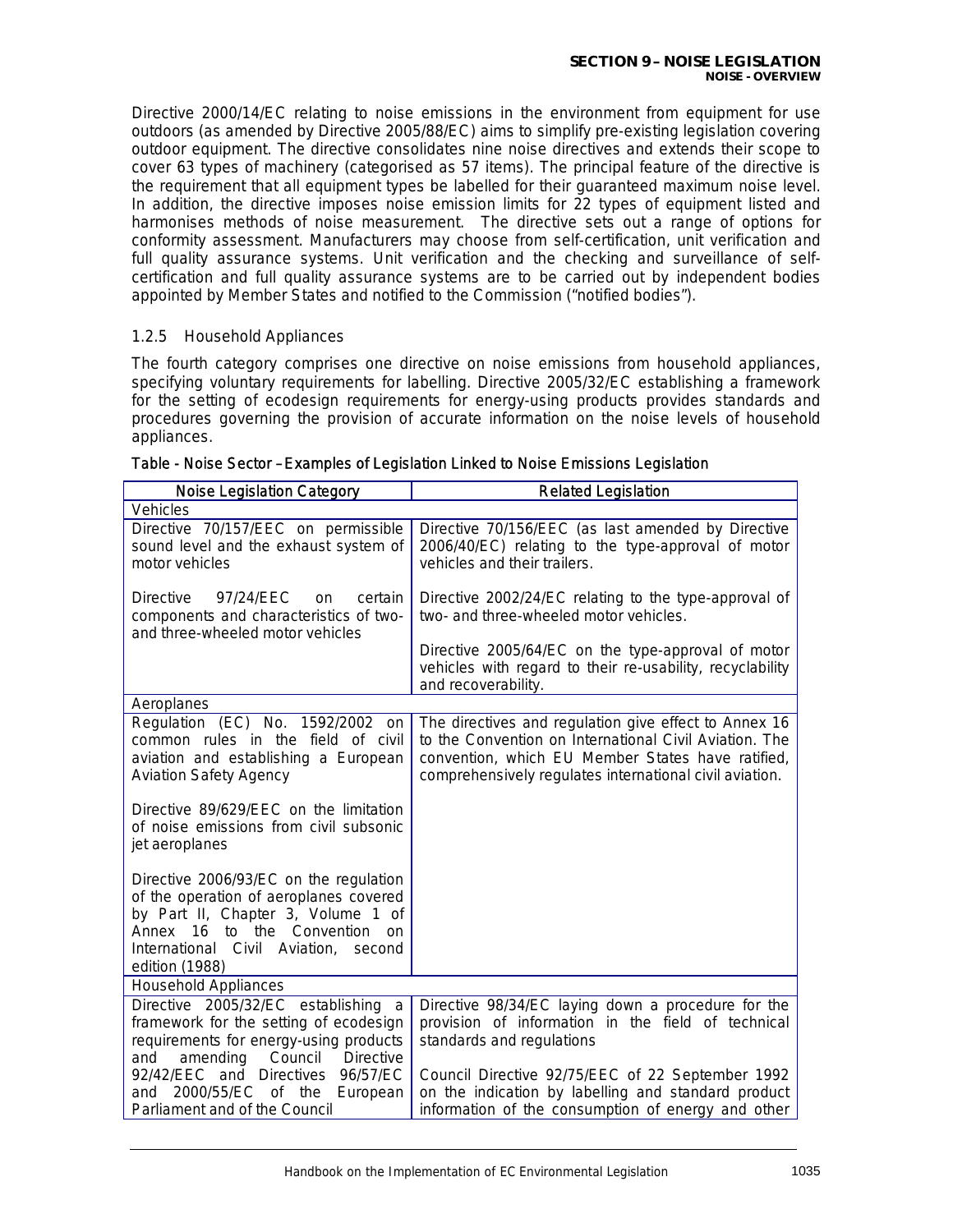Directive 2000/14/EC relating to noise emissions in the environment from equipment for use outdoors (as amended by Directive 2005/88/EC) aims to simplify pre-existing legislation covering outdoor equipment. The directive consolidates nine noise directives and extends their scope to cover 63 types of machinery (categorised as 57 items). The principal feature of the directive is the requirement that all equipment types be labelled for their guaranteed maximum noise level. In addition, the directive imposes noise emission limits for 22 types of equipment listed and harmonises methods of noise measurement. The directive sets out a range of options for conformity assessment. Manufacturers may choose from self-certification, unit verification and full quality assurance systems. Unit verification and the checking and surveillance of selfcertification and full quality assurance systems are to be carried out by independent bodies appointed by Member States and notified to the Commission ("notified bodies").

#### 1.2.5 Household Appliances

The fourth category comprises one directive on noise emissions from household appliances, specifying voluntary requirements for labelling. Directive 2005/32/EC establishing a framework for the setting of ecodesign requirements for energy-using products provides standards and procedures governing the provision of accurate information on the noise levels of household appliances.

| <b>Noise Legislation Category</b>                                                                                                                                                                                                                                                               | <b>Related Legislation</b>                                                                                                                                                                                                      |
|-------------------------------------------------------------------------------------------------------------------------------------------------------------------------------------------------------------------------------------------------------------------------------------------------|---------------------------------------------------------------------------------------------------------------------------------------------------------------------------------------------------------------------------------|
| Vehicles                                                                                                                                                                                                                                                                                        |                                                                                                                                                                                                                                 |
| Directive 70/157/EEC on permissible<br>sound level and the exhaust system of<br>motor vehicles                                                                                                                                                                                                  | Directive 70/156/EEC (as last amended by Directive<br>2006/40/EC) relating to the type-approval of motor<br>vehicles and their trailers.                                                                                        |
| <b>Directive</b><br>97/24/EEC<br>certain<br>on<br>components and characteristics of two-<br>and three-wheeled motor vehicles                                                                                                                                                                    | Directive 2002/24/EC relating to the type-approval of<br>two- and three-wheeled motor vehicles.                                                                                                                                 |
|                                                                                                                                                                                                                                                                                                 | Directive 2005/64/EC on the type-approval of motor<br>vehicles with regard to their re-usability, recyclability<br>and recoverability.                                                                                          |
| Aeroplanes                                                                                                                                                                                                                                                                                      |                                                                                                                                                                                                                                 |
| Regulation (EC) No. 1592/2002 on<br>common rules in the field of civil<br>aviation and establishing a European<br><b>Aviation Safety Agency</b><br>Directive 89/629/EEC on the limitation<br>of noise emissions from civil subsonic<br>jet aeroplanes<br>Directive 2006/93/EC on the regulation | The directives and regulation give effect to Annex 16<br>to the Convention on International Civil Aviation. The<br>convention, which EU Member States have ratified,<br>comprehensively regulates international civil aviation. |
| of the operation of aeroplanes covered<br>by Part II, Chapter 3, Volume 1 of<br>Annex 16 to the Convention on<br>International Civil Aviation,<br>second<br>edition (1988)                                                                                                                      |                                                                                                                                                                                                                                 |
| <b>Household Appliances</b>                                                                                                                                                                                                                                                                     |                                                                                                                                                                                                                                 |
| Directive 2005/32/EC establishing a<br>framework for the setting of ecodesign<br>requirements for energy-using products<br>amending<br>Council<br><b>Directive</b><br>and                                                                                                                       | Directive 98/34/EC laying down a procedure for the<br>provision of information in the field of technical<br>standards and regulations                                                                                           |
| 92/42/EEC and Directives 96/57/EC<br>and 2000/55/EC of the<br>European<br>Parliament and of the Council                                                                                                                                                                                         | Council Directive 92/75/EEC of 22 September 1992<br>on the indication by labelling and standard product<br>information of the consumption of energy and other                                                                   |

|  |  | Table - Noise Sector - Examples of Legislation Linked to Noise Emissions Legislation |  |
|--|--|--------------------------------------------------------------------------------------|--|
|  |  |                                                                                      |  |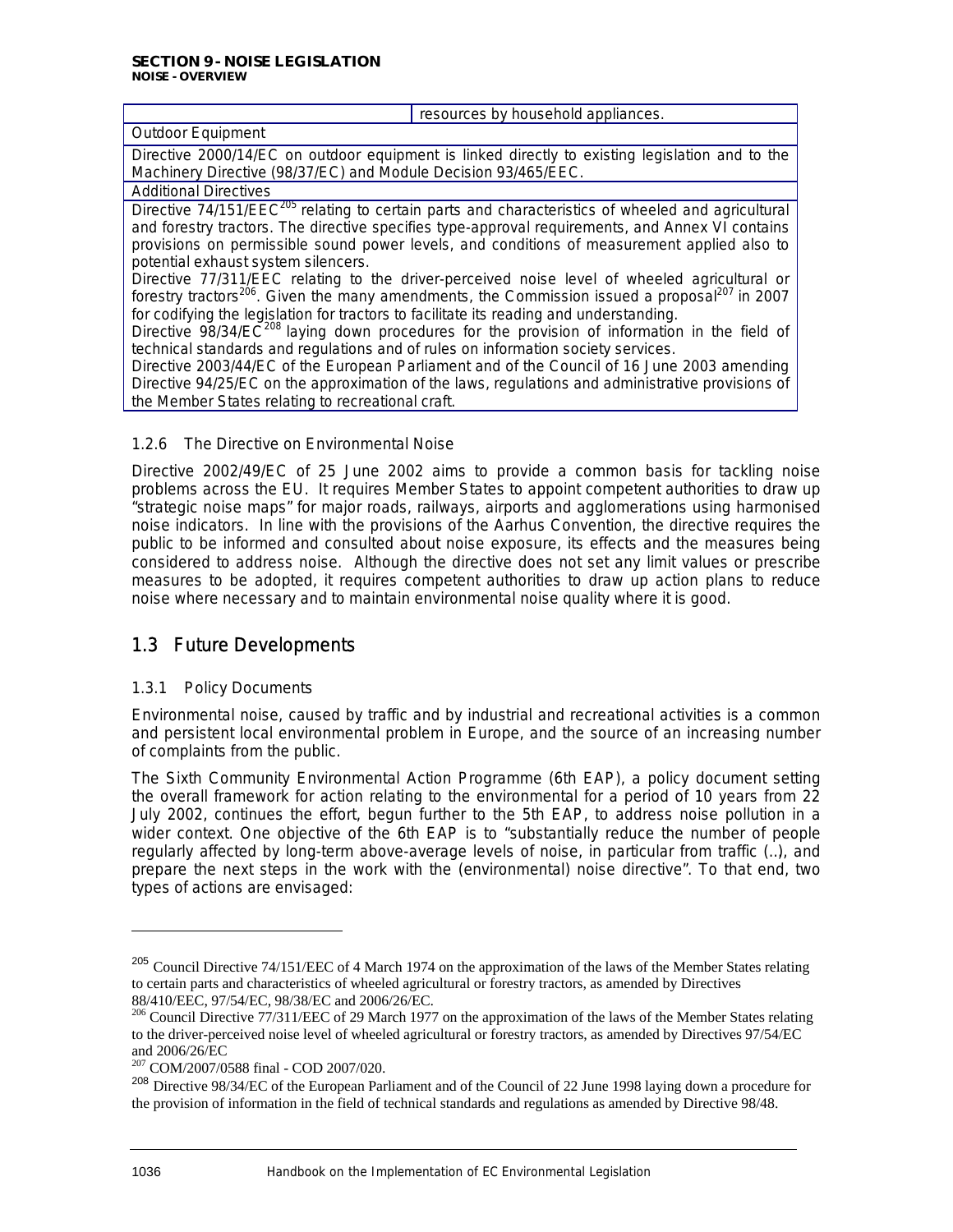|                                                                                                                                                                                                                                                                          | resources by household appliances.                                                                                                                                                                                                                                                                                                                                                                                                                                                                                                                                                                                                                                                                                                                                                                                                                         |
|--------------------------------------------------------------------------------------------------------------------------------------------------------------------------------------------------------------------------------------------------------------------------|------------------------------------------------------------------------------------------------------------------------------------------------------------------------------------------------------------------------------------------------------------------------------------------------------------------------------------------------------------------------------------------------------------------------------------------------------------------------------------------------------------------------------------------------------------------------------------------------------------------------------------------------------------------------------------------------------------------------------------------------------------------------------------------------------------------------------------------------------------|
| Outdoor Equipment                                                                                                                                                                                                                                                        |                                                                                                                                                                                                                                                                                                                                                                                                                                                                                                                                                                                                                                                                                                                                                                                                                                                            |
| Machinery Directive (98/37/EC) and Module Decision 93/465/EEC.                                                                                                                                                                                                           | Directive 2000/14/EC on outdoor equipment is linked directly to existing legislation and to the                                                                                                                                                                                                                                                                                                                                                                                                                                                                                                                                                                                                                                                                                                                                                            |
| <b>Additional Directives</b>                                                                                                                                                                                                                                             |                                                                                                                                                                                                                                                                                                                                                                                                                                                                                                                                                                                                                                                                                                                                                                                                                                                            |
| potential exhaust system silencers.<br>for codifying the legislation for tractors to facilitate its reading and understanding.<br>technical standards and regulations and of rules on information society services.<br>the Member States relating to recreational craft. | Directive 74/151/EEC <sup>205</sup> relating to certain parts and characteristics of wheeled and agricultural<br>and forestry tractors. The directive specifies type-approval requirements, and Annex VI contains<br>provisions on permissible sound power levels, and conditions of measurement applied also to<br>Directive 77/311/EEC relating to the driver-perceived noise level of wheeled agricultural or<br>forestry tractors <sup>206</sup> . Given the many amendments, the Commission issued a proposal <sup>207</sup> in 2007<br>Directive 98/34/EC <sup>208</sup> laying down procedures for the provision of information in the field of<br>Directive 2003/44/EC of the European Parliament and of the Council of 16 June 2003 amending<br>Directive 94/25/EC on the approximation of the laws, regulations and administrative provisions of |

#### 1.2.6 The Directive on Environmental Noise

Directive 2002/49/EC of 25 June 2002 aims to provide a common basis for tackling noise problems across the EU. It requires Member States to appoint competent authorities to draw up "strategic noise maps" for major roads, railways, airports and agglomerations using harmonised noise indicators. In line with the provisions of the Aarhus Convention, the directive requires the public to be informed and consulted about noise exposure, its effects and the measures being considered to address noise. Although the directive does not set any limit values or prescribe measures to be adopted, it requires competent authorities to draw up action plans to reduce noise where necessary and to maintain environmental noise quality where it is good.

# 1.3 Future Developments

#### 1.3.1 Policy Documents

Environmental noise, caused by traffic and by industrial and recreational activities is a common and persistent local environmental problem in Europe, and the source of an increasing number of complaints from the public.

The Sixth Community Environmental Action Programme (6th EAP), a policy document setting the overall framework for action relating to the environmental for a period of 10 years from 22 July 2002, continues the effort, begun further to the 5th EAP, to address noise pollution in a wider context. One objective of the 6th EAP is to "substantially reduce the number of people regularly affected by long-term above-average levels of noise, in particular from traffic (…), and prepare the next steps in the work with the (environmental) noise directive". To that end, two types of actions are envisaged:

l

<sup>&</sup>lt;sup>205</sup> Council Directive 74/151/EEC of 4 March 1974 on the approximation of the laws of the Member States relating to certain parts and characteristics of wheeled agricultural or forestry tractors, as amended by Directives 88/410/EEC, 97/54/EC, 98/38/EC and 2006/26/EC.

<sup>&</sup>lt;sup>206</sup> Council Directive 77/311/EEC of 29 March 1977 on the approximation of the laws of the Member States relating to the driver-perceived noise level of wheeled agricultural or forestry tractors, as amended by Directives 97/54/EC and 2006/26/EC

<sup>207</sup> COM/2007/0588 final - COD 2007/020.

<sup>208</sup> Directive 98/34/EC of the European Parliament and of the Council of 22 June 1998 laying down a procedure for the provision of information in the field of technical standards and regulations as amended by Directive 98/48.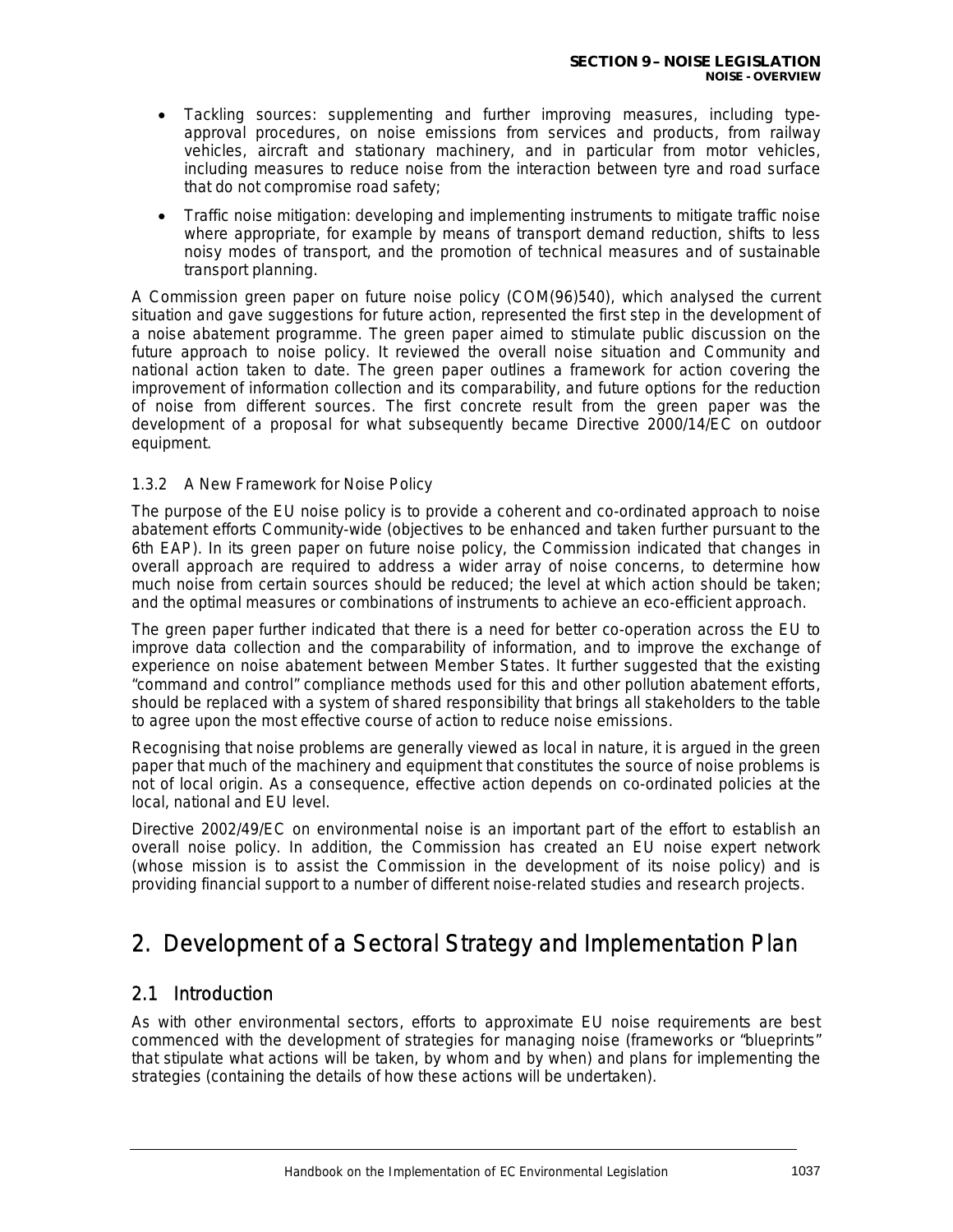- Tackling sources: supplementing and further improving measures, including typeapproval procedures, on noise emissions from services and products, from railway vehicles, aircraft and stationary machinery, and in particular from motor vehicles, including measures to reduce noise from the interaction between tyre and road surface that do not compromise road safety;
- Traffic noise mitigation: developing and implementing instruments to mitigate traffic noise where appropriate, for example by means of transport demand reduction, shifts to less noisy modes of transport, and the promotion of technical measures and of sustainable transport planning.

A Commission green paper on future noise policy (COM(96)540), which analysed the current situation and gave suggestions for future action, represented the first step in the development of a noise abatement programme. The green paper aimed to stimulate public discussion on the future approach to noise policy. It reviewed the overall noise situation and Community and national action taken to date. The green paper outlines a framework for action covering the improvement of information collection and its comparability, and future options for the reduction of noise from different sources. The first concrete result from the green paper was the development of a proposal for what subsequently became Directive 2000/14/EC on outdoor equipment.

#### 1.3.2 A New Framework for Noise Policy

The purpose of the EU noise policy is to provide a coherent and co-ordinated approach to noise abatement efforts Community-wide (objectives to be enhanced and taken further pursuant to the 6th EAP). In its green paper on future noise policy, the Commission indicated that changes in overall approach are required to address a wider array of noise concerns, to determine how much noise from certain sources should be reduced; the level at which action should be taken; and the optimal measures or combinations of instruments to achieve an eco-efficient approach.

The green paper further indicated that there is a need for better co-operation across the EU to improve data collection and the comparability of information, and to improve the exchange of experience on noise abatement between Member States. It further suggested that the existing "command and control" compliance methods used for this and other pollution abatement efforts, should be replaced with a system of shared responsibility that brings all stakeholders to the table to agree upon the most effective course of action to reduce noise emissions.

Recognising that noise problems are generally viewed as local in nature, it is argued in the green paper that much of the machinery and equipment that constitutes the source of noise problems is not of local origin. As a consequence, effective action depends on co-ordinated policies at the local, national and EU level.

Directive 2002/49/EC on environmental noise is an important part of the effort to establish an overall noise policy. In addition, the Commission has created an EU noise expert network (whose mission is to assist the Commission in the development of its noise policy) and is providing financial support to a number of different noise-related studies and research projects.

# 2. Development of a Sectoral Strategy and Implementation Plan

## 2.1 Introduction

As with other environmental sectors, efforts to approximate EU noise requirements are best commenced with the development of strategies for managing noise (frameworks or "blueprints" that stipulate what actions will be taken, by whom and by when) and plans for implementing the strategies (containing the details of how these actions will be undertaken).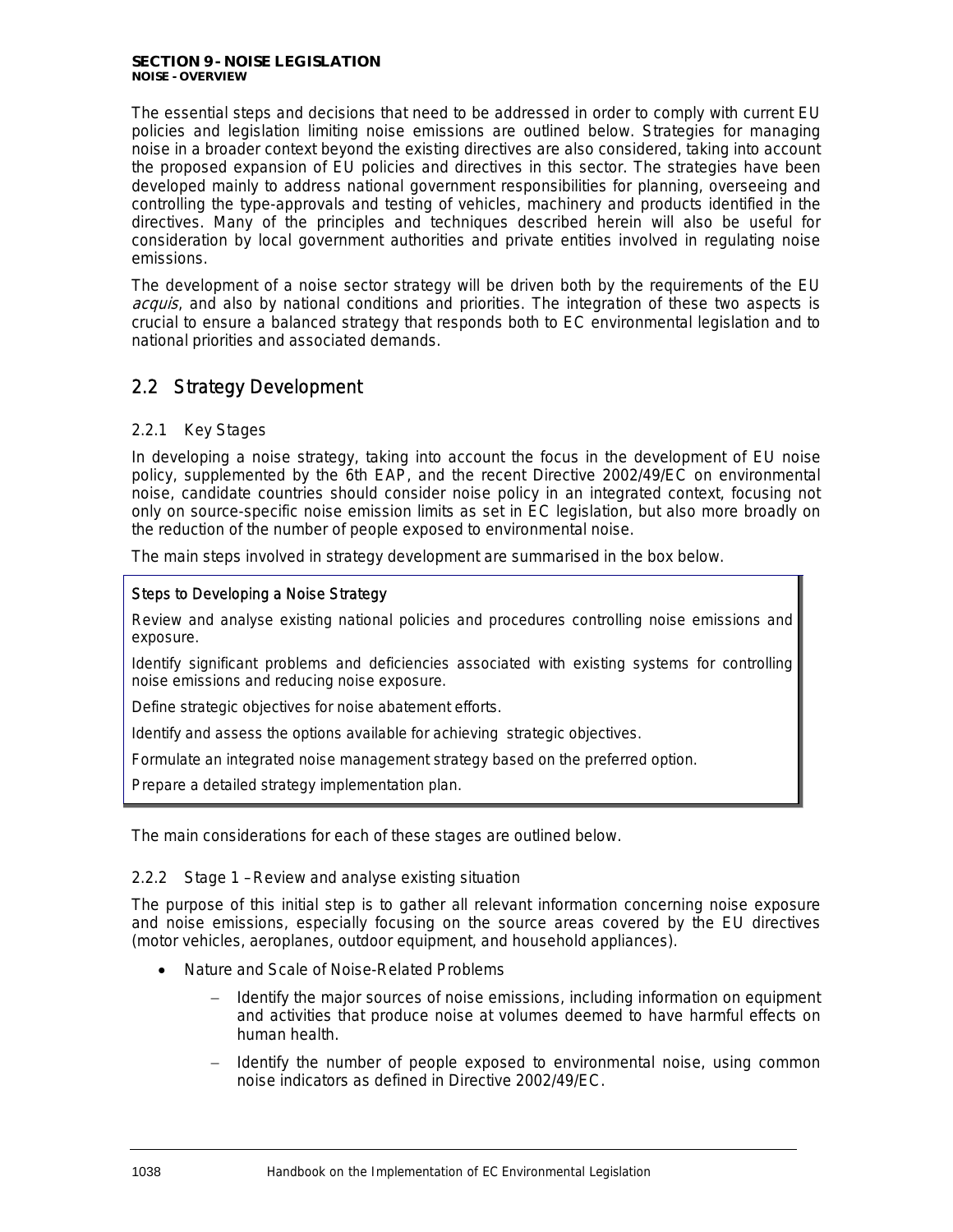The essential steps and decisions that need to be addressed in order to comply with current EU policies and legislation limiting noise emissions are outlined below. Strategies for managing noise in a broader context beyond the existing directives are also considered, taking into account the proposed expansion of EU policies and directives in this sector. The strategies have been developed mainly to address national government responsibilities for planning, overseeing and controlling the type-approvals and testing of vehicles, machinery and products identified in the directives. Many of the principles and techniques described herein will also be useful for consideration by local government authorities and private entities involved in regulating noise emissions.

The development of a noise sector strategy will be driven both by the requirements of the EU *acquis*, and also by national conditions and priorities. The integration of these two aspects is crucial to ensure a balanced strategy that responds both to EC environmental legislation and to national priorities and associated demands.

# 2.2 Strategy Development

#### 2.2.1 Key Stages

In developing a noise strategy, taking into account the focus in the development of EU noise policy, supplemented by the 6th EAP, and the recent Directive 2002/49/EC on environmental noise, candidate countries should consider noise policy in an integrated context, focusing not only on source-specific noise emission limits as set in EC legislation, but also more broadly on the reduction of the number of people exposed to environmental noise.

The main steps involved in strategy development are summarised in the box below.

#### Steps to Developing a Noise Strategy

Review and analyse existing national policies and procedures controlling noise emissions and exposure.

Identify significant problems and deficiencies associated with existing systems for controlling noise emissions and reducing noise exposure.

Define strategic objectives for noise abatement efforts.

Identify and assess the options available for achieving strategic objectives.

Formulate an integrated noise management strategy based on the preferred option.

Prepare a detailed strategy implementation plan.

The main considerations for each of these stages are outlined below.

#### 2.2.2 Stage 1 – Review and analyse existing situation

The purpose of this initial step is to gather all relevant information concerning noise exposure and noise emissions, especially focusing on the source areas covered by the EU directives (motor vehicles, aeroplanes, outdoor equipment, and household appliances).

- Nature and Scale of Noise-Related Problems
	- Hetara and including information on equipment identify the major sources of noise emissions, including information on equipment and activities that produce noise at volumes deemed to have harmful effects on human health.
	- Hentify the number of people exposed to environmental noise, using common noise indicators as defined in Directive 2002/49/EC.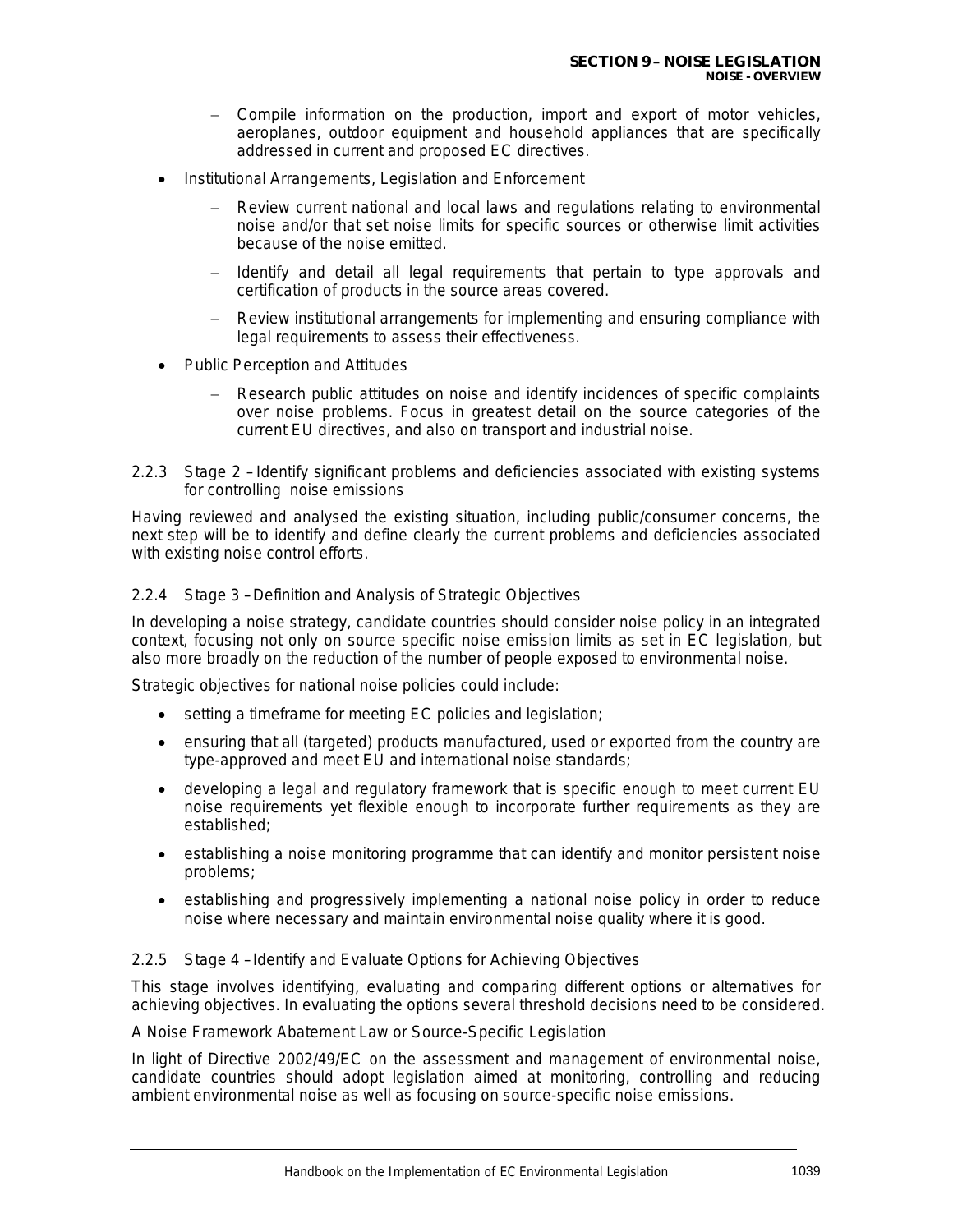- − Compile information on the production, import and export of motor vehicles, aeroplanes, outdoor equipment and household appliances that are specifically addressed in current and proposed EC directives.
- Institutional Arrangements, Legislation and Enforcement
	- Review current national and local laws and regulations relating to environmental noise and/or that set noise limits for specific sources or otherwise limit activities because of the noise emitted.
	- − Identify and detail all legal requirements that pertain to type approvals and certification of products in the source areas covered.
	- − Review institutional arrangements for implementing and ensuring compliance with legal requirements to assess their effectiveness.
- Public Perception and Attitudes
	- Research public attitudes on noise and identify incidences of specific complaints over noise problems. Focus in greatest detail on the source categories of the current EU directives, and also on transport and industrial noise.
- 2.2.3 Stage 2 Identify significant problems and deficiencies associated with existing systems for controlling noise emissions

Having reviewed and analysed the existing situation, including public/consumer concerns, the next step will be to identify and define clearly the current problems and deficiencies associated with existing noise control efforts.

#### 2.2.4 Stage 3 – Definition and Analysis of Strategic Objectives

In developing a noise strategy, candidate countries should consider noise policy in an integrated context, focusing not only on source specific noise emission limits as set in EC legislation, but also more broadly on the reduction of the number of people exposed to environmental noise.

Strategic objectives for national noise policies could include:

- setting a timeframe for meeting EC policies and legislation;
- ensuring that all (targeted) products manufactured, used or exported from the country are type-approved and meet EU and international noise standards;
- developing a legal and regulatory framework that is specific enough to meet current EU noise requirements yet flexible enough to incorporate further requirements as they are established;
- establishing a noise monitoring programme that can identify and monitor persistent noise problems;
- establishing and progressively implementing a national noise policy in order to reduce noise where necessary and maintain environmental noise quality where it is good.

#### 2.2.5 Stage 4 – Identify and Evaluate Options for Achieving Objectives

This stage involves identifying, evaluating and comparing different options or alternatives for achieving objectives. In evaluating the options several threshold decisions need to be considered.

A Noise Framework Abatement Law or Source-Specific Legislation

In light of Directive 2002/49/EC on the assessment and management of environmental noise, candidate countries should adopt legislation aimed at monitoring, controlling and reducing ambient environmental noise as well as focusing on source-specific noise emissions.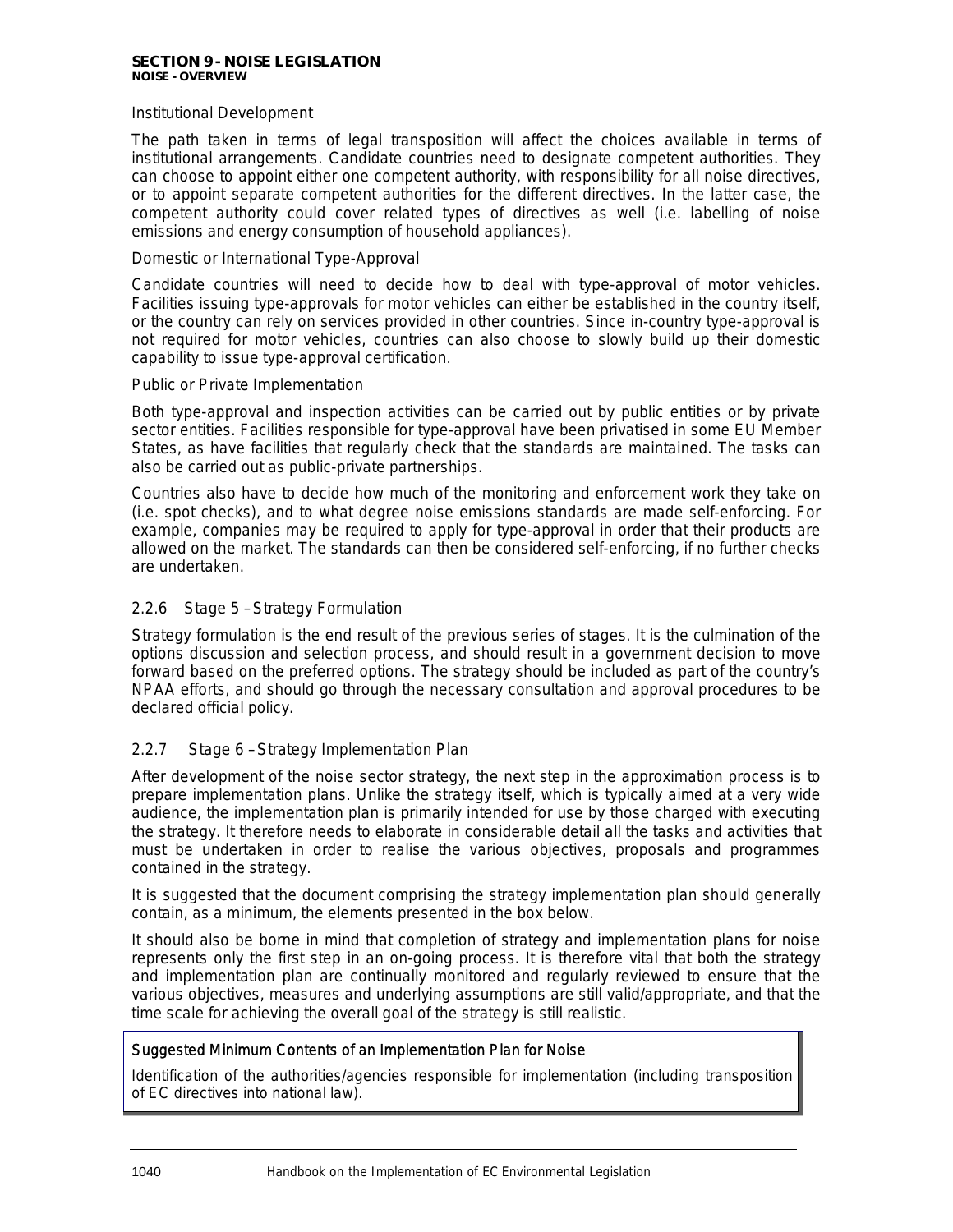#### Institutional Development

The path taken in terms of legal transposition will affect the choices available in terms of institutional arrangements. Candidate countries need to designate competent authorities. They can choose to appoint either one competent authority, with responsibility for all noise directives, or to appoint separate competent authorities for the different directives. In the latter case, the competent authority could cover related types of directives as well (i.e. labelling of noise emissions and energy consumption of household appliances).

#### Domestic or International Type-Approval

Candidate countries will need to decide how to deal with type-approval of motor vehicles. Facilities issuing type-approvals for motor vehicles can either be established in the country itself, or the country can rely on services provided in other countries. Since in-country type-approval is not required for motor vehicles, countries can also choose to slowly build up their domestic capability to issue type-approval certification.

#### Public or Private Implementation

Both type-approval and inspection activities can be carried out by public entities or by private sector entities. Facilities responsible for type-approval have been privatised in some EU Member States, as have facilities that regularly check that the standards are maintained. The tasks can also be carried out as public-private partnerships.

Countries also have to decide how much of the monitoring and enforcement work they take on (i.e. spot checks), and to what degree noise emissions standards are made self-enforcing. For example, companies may be required to apply for type-approval in order that their products are allowed on the market. The standards can then be considered self-enforcing, if no further checks are undertaken.

#### 2.2.6 Stage 5 – Strategy Formulation

Strategy formulation is the end result of the previous series of stages. It is the culmination of the options discussion and selection process, and should result in a government decision to move forward based on the preferred options. The strategy should be included as part of the country's NPAA efforts, and should go through the necessary consultation and approval procedures to be declared official policy.

#### 2.2.7 Stage 6 – Strategy Implementation Plan

After development of the noise sector strategy, the next step in the approximation process is to prepare implementation plans. Unlike the strategy itself, which is typically aimed at a very wide audience, the implementation plan is primarily intended for use by those charged with executing the strategy. It therefore needs to elaborate in considerable detail all the tasks and activities that must be undertaken in order to realise the various objectives, proposals and programmes contained in the strategy.

It is suggested that the document comprising the strategy implementation plan should generally contain, as a minimum, the elements presented in the box below.

It should also be borne in mind that completion of strategy and implementation plans for noise represents only the first step in an on-going process. It is therefore vital that both the strategy and implementation plan are continually monitored and regularly reviewed to ensure that the various objectives, measures and underlying assumptions are still valid/appropriate, and that the time scale for achieving the overall goal of the strategy is still realistic.

#### Suggested Minimum Contents of an Implementation Plan for Noise

Identification of the authorities/agencies responsible for implementation (including transposition of EC directives into national law).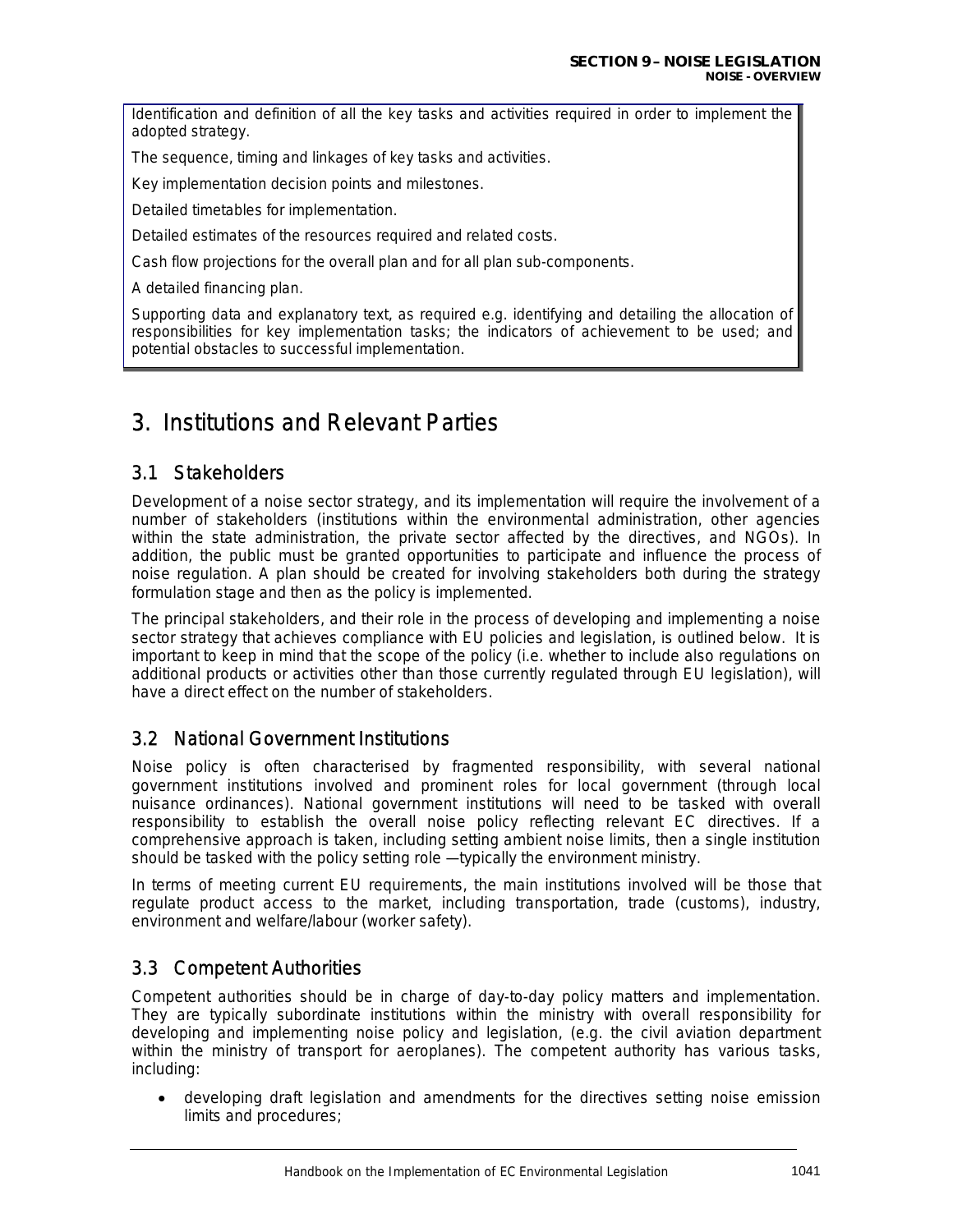Identification and definition of all the key tasks and activities required in order to implement the adopted strategy.

The sequence, timing and linkages of key tasks and activities.

Key implementation decision points and milestones.

Detailed timetables for implementation.

Detailed estimates of the resources required and related costs.

Cash flow projections for the overall plan and for all plan sub-components.

A detailed financing plan.

Supporting data and explanatory text, as required e.g. identifying and detailing the allocation of responsibilities for key implementation tasks; the indicators of achievement to be used; and potential obstacles to successful implementation.

# 3. Institutions and Relevant Parties

# 3.1 Stakeholders

Development of a noise sector strategy, and its implementation will require the involvement of a number of stakeholders (institutions within the environmental administration, other agencies within the state administration, the private sector affected by the directives, and NGOs). In addition, the public must be granted opportunities to participate and influence the process of noise regulation. A plan should be created for involving stakeholders both during the strategy formulation stage and then as the policy is implemented.

The principal stakeholders, and their role in the process of developing and implementing a noise sector strategy that achieves compliance with EU policies and legislation, is outlined below. It is important to keep in mind that the scope of the policy (i.e. whether to include also regulations on additional products or activities other than those currently regulated through EU legislation), will have a direct effect on the number of stakeholders.

# 3.2 National Government Institutions

Noise policy is often characterised by fragmented responsibility, with several national government institutions involved and prominent roles for local government (through local nuisance ordinances). National government institutions will need to be tasked with overall responsibility to establish the overall noise policy reflecting relevant EC directives. If a comprehensive approach is taken, including setting ambient noise limits, then a single institution should be tasked with the policy setting role — typically the environment ministry.

In terms of meeting current EU requirements, the main institutions involved will be those that regulate product access to the market, including transportation, trade (customs), industry, environment and welfare/labour (worker safety).

# 3.3 Competent Authorities

Competent authorities should be in charge of day-to-day policy matters and implementation. They are typically subordinate institutions within the ministry with overall responsibility for developing and implementing noise policy and legislation, (e.g. the civil aviation department within the ministry of transport for aeroplanes). The competent authority has various tasks, including:

• developing draft legislation and amendments for the directives setting noise emission limits and procedures;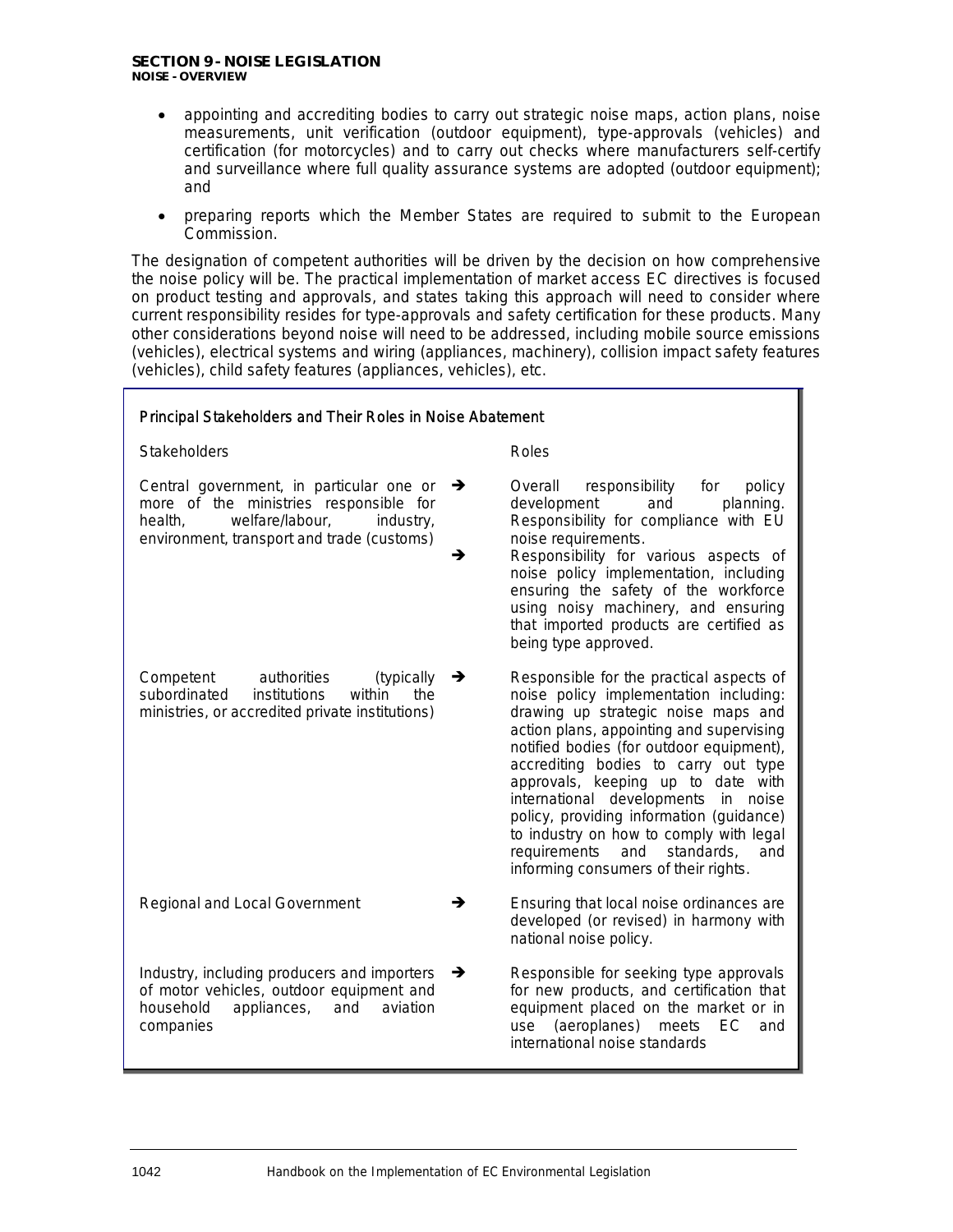- appointing and accrediting bodies to carry out strategic noise maps, action plans, noise measurements, unit verification (outdoor equipment), type-approvals (vehicles) and certification (for motorcycles) and to carry out checks where manufacturers self-certify and surveillance where full quality assurance systems are adopted (outdoor equipment); and
- preparing reports which the Member States are required to submit to the European Commission.

The designation of competent authorities will be driven by the decision on how comprehensive the noise policy will be. The practical implementation of market access EC directives is focused on product testing and approvals, and states taking this approach will need to consider where current responsibility resides for type-approvals and safety certification for these products. Many other considerations beyond noise will need to be addressed, including mobile source emissions (vehicles), electrical systems and wiring (appliances, machinery), collision impact safety features (vehicles), child safety features (appliances, vehicles), etc.

#### Principal Stakeholders and Their Roles in Noise Abatement Stakeholders **Roles** Roles Central government, in particular one or more of the ministries responsible for health, welfare/labour, industry, environment, transport and trade (customs)  $\rightarrow$  Overall responsibility for policy development and planning. Responsibility for compliance with EU noise requirements.  $\rightarrow$  Responsibility for various aspects of noise policy implementation, including ensuring the safety of the workforce using noisy machinery, and ensuring that imported products are certified as being type approved. Competent authorities (typically  $\rightarrow$ subordinated institutions within the ministries, or accredited private institutions) Responsible for the practical aspects of noise policy implementation including: drawing up strategic noise maps and action plans, appointing and supervising notified bodies (for outdoor equipment), accrediting bodies to carry out type approvals, keeping up to date with international developments in noise policy, providing information (guidance) to industry on how to comply with legal requirements and standards, and informing consumers of their rights. Regional and Local Government  $\rightarrow$  Ensuring that local noise ordinances are developed (or revised) in harmony with national noise policy.

Industry, including producers and importers of motor vehicles, outdoor equipment and household appliances, and aviation  $\rightarrow$  Responsible for seeking type approvals for new products, and certification that equipment placed on the market or in use (aeroplanes) meets EC and international noise standards

companies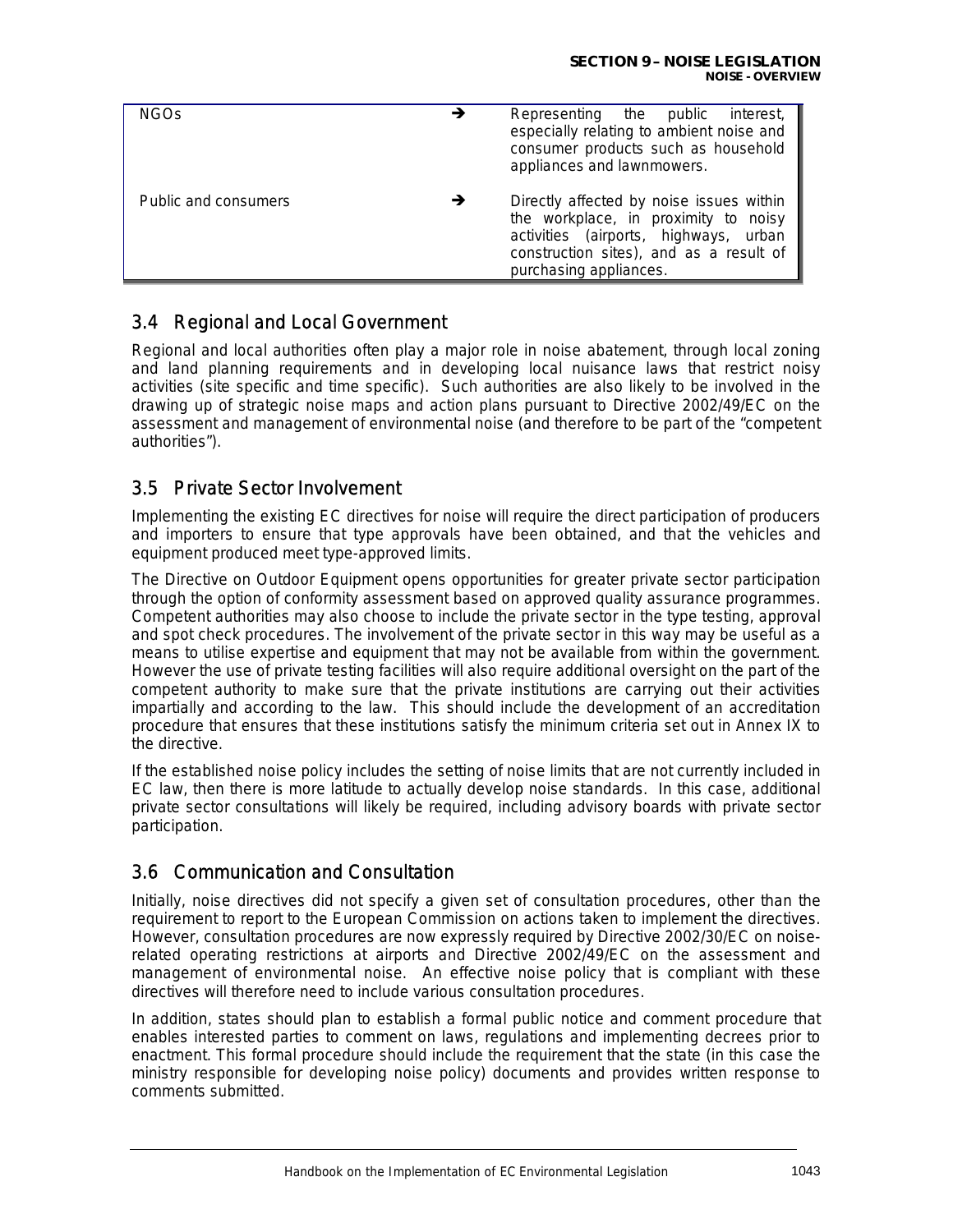| NGOs                 | → | Representing the<br>public<br>interest,<br>especially relating to ambient noise and<br>consumer products such as household<br>appliances and lawnmowers.                                       |
|----------------------|---|------------------------------------------------------------------------------------------------------------------------------------------------------------------------------------------------|
| Public and consumers | → | Directly affected by noise issues within<br>the workplace, in proximity to noisy<br>activities (airports, highways, urban<br>construction sites), and as a result of<br>purchasing appliances. |

# 3.4 Regional and Local Government

Regional and local authorities often play a major role in noise abatement, through local zoning and land planning requirements and in developing local nuisance laws that restrict noisy activities (site specific and time specific). Such authorities are also likely to be involved in the drawing up of strategic noise maps and action plans pursuant to Directive 2002/49/EC on the assessment and management of environmental noise (and therefore to be part of the "competent authorities").

# 3.5 Private Sector Involvement

Implementing the existing EC directives for noise will require the direct participation of producers and importers to ensure that type approvals have been obtained, and that the vehicles and equipment produced meet type-approved limits.

The Directive on Outdoor Equipment opens opportunities for greater private sector participation through the option of conformity assessment based on approved quality assurance programmes. Competent authorities may also choose to include the private sector in the type testing, approval and spot check procedures. The involvement of the private sector in this way may be useful as a means to utilise expertise and equipment that may not be available from within the government. However the use of private testing facilities will also require additional oversight on the part of the competent authority to make sure that the private institutions are carrying out their activities impartially and according to the law. This should include the development of an accreditation procedure that ensures that these institutions satisfy the minimum criteria set out in Annex IX to the directive.

If the established noise policy includes the setting of noise limits that are not currently included in EC law, then there is more latitude to actually develop noise standards. In this case, additional private sector consultations will likely be required, including advisory boards with private sector participation.

# 3.6 Communication and Consultation

Initially, noise directives did not specify a given set of consultation procedures, other than the requirement to report to the European Commission on actions taken to implement the directives. However, consultation procedures are now expressly required by Directive 2002/30/EC on noiserelated operating restrictions at airports and Directive 2002/49/EC on the assessment and management of environmental noise. An effective noise policy that is compliant with these directives will therefore need to include various consultation procedures.

In addition, states should plan to establish a formal public notice and comment procedure that enables interested parties to comment on laws, regulations and implementing decrees prior to enactment. This formal procedure should include the requirement that the state (in this case the ministry responsible for developing noise policy) documents and provides written response to comments submitted.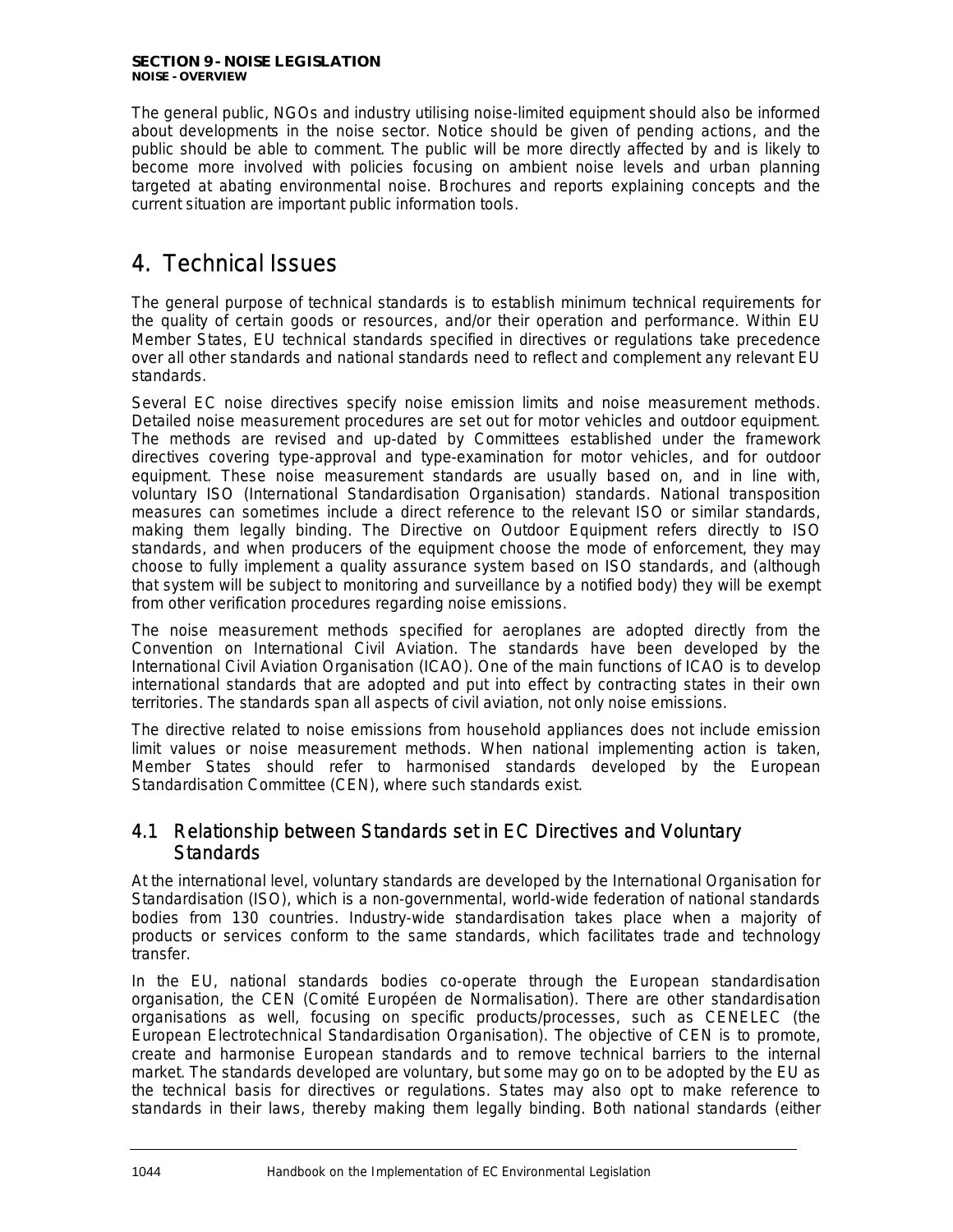The general public, NGOs and industry utilising noise-limited equipment should also be informed about developments in the noise sector. Notice should be given of pending actions, and the public should be able to comment. The public will be more directly affected by and is likely to become more involved with policies focusing on ambient noise levels and urban planning targeted at abating environmental noise. Brochures and reports explaining concepts and the current situation are important public information tools.

# 4. Technical Issues

The general purpose of technical standards is to establish minimum technical requirements for the quality of certain goods or resources, and/or their operation and performance. Within EU Member States, EU technical standards specified in directives or regulations take precedence over all other standards and national standards need to reflect and complement any relevant EU standards.

Several EC noise directives specify noise emission limits and noise measurement methods. Detailed noise measurement procedures are set out for motor vehicles and outdoor equipment. The methods are revised and up-dated by Committees established under the framework directives covering type-approval and type-examination for motor vehicles, and for outdoor equipment. These noise measurement standards are usually based on, and in line with, voluntary ISO (International Standardisation Organisation) standards. National transposition measures can sometimes include a direct reference to the relevant ISO or similar standards, making them legally binding. The Directive on Outdoor Equipment refers directly to ISO standards, and when producers of the equipment choose the mode of enforcement, they may choose to fully implement a quality assurance system based on ISO standards, and (although that system will be subject to monitoring and surveillance by a notified body) they will be exempt from other verification procedures regarding noise emissions.

The noise measurement methods specified for aeroplanes are adopted directly from the Convention on International Civil Aviation. The standards have been developed by the International Civil Aviation Organisation (ICAO). One of the main functions of ICAO is to develop international standards that are adopted and put into effect by contracting states in their own territories. The standards span all aspects of civil aviation, not only noise emissions.

The directive related to noise emissions from household appliances does not include emission limit values or noise measurement methods. When national implementing action is taken, Member States should refer to harmonised standards developed by the European Standardisation Committee (CEN), where such standards exist.

## 4.1 Relationship between Standards set in EC Directives and Voluntary **Standards**

At the international level, voluntary standards are developed by the International Organisation for Standardisation (ISO), which is a non-governmental, world-wide federation of national standards bodies from 130 countries. Industry-wide standardisation takes place when a majority of products or services conform to the same standards, which facilitates trade and technology transfer.

In the EU, national standards bodies co-operate through the European standardisation organisation, the CEN (Comité Européen de Normalisation). There are other standardisation organisations as well, focusing on specific products/processes, such as CENELEC (the European Electrotechnical Standardisation Organisation). The objective of CEN is to promote, create and harmonise European standards and to remove technical barriers to the internal market. The standards developed are voluntary, but some may go on to be adopted by the EU as the technical basis for directives or regulations. States may also opt to make reference to standards in their laws, thereby making them legally binding. Both national standards (either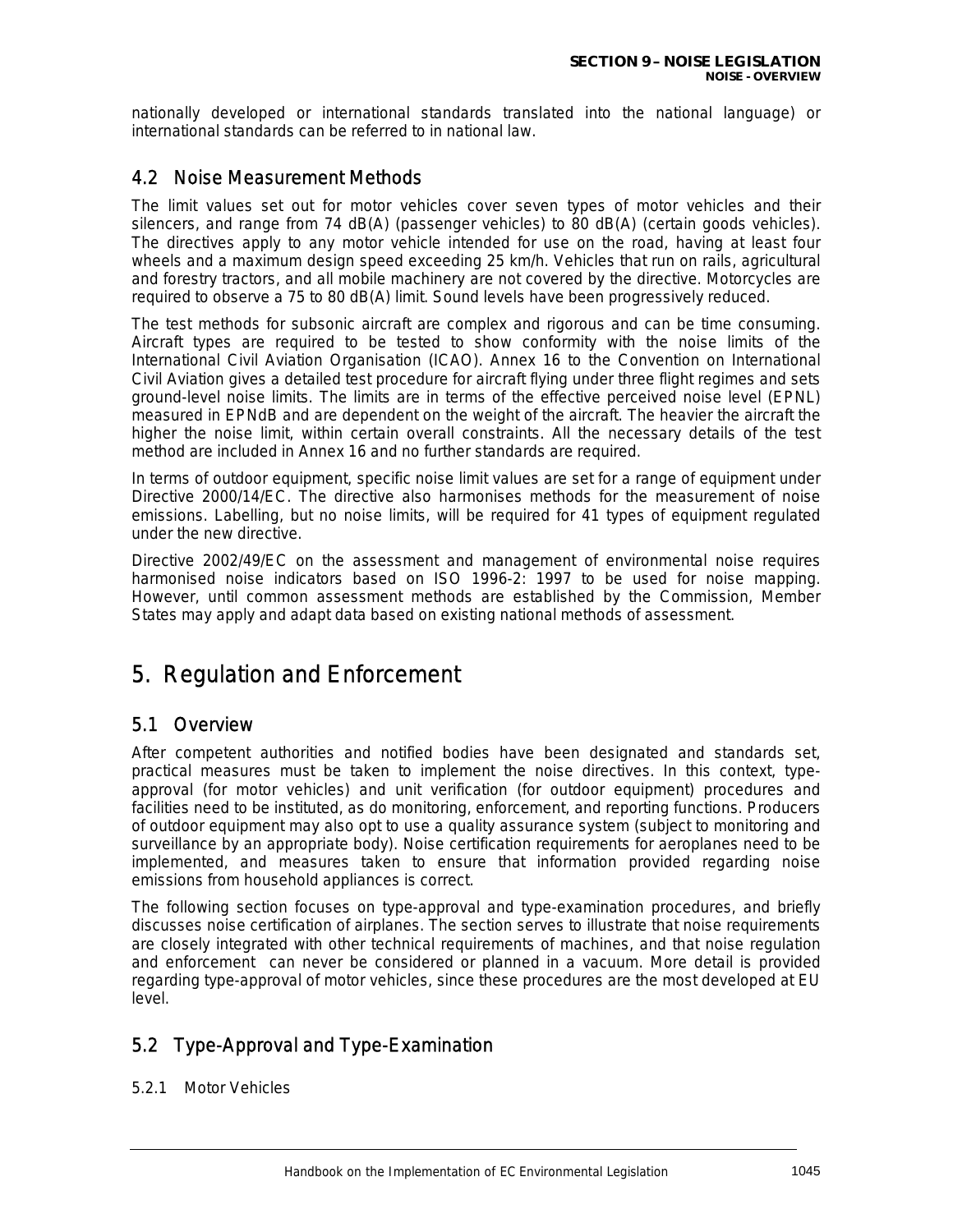nationally developed or international standards translated into the national language) or international standards can be referred to in national law.

## 4.2 Noise Measurement Methods

The limit values set out for motor vehicles cover seven types of motor vehicles and their silencers, and range from 74 dB(A) (passenger vehicles) to 80 dB(A) (certain goods vehicles). The directives apply to any motor vehicle intended for use on the road, having at least four wheels and a maximum design speed exceeding 25 km/h. Vehicles that run on rails, agricultural and forestry tractors, and all mobile machinery are not covered by the directive. Motorcycles are required to observe a 75 to 80 dB(A) limit. Sound levels have been progressively reduced.

The test methods for subsonic aircraft are complex and rigorous and can be time consuming. Aircraft types are required to be tested to show conformity with the noise limits of the International Civil Aviation Organisation (ICAO). Annex 16 to the Convention on International Civil Aviation gives a detailed test procedure for aircraft flying under three flight regimes and sets ground-level noise limits. The limits are in terms of the effective perceived noise level (EPNL) measured in EPNdB and are dependent on the weight of the aircraft. The heavier the aircraft the higher the noise limit, within certain overall constraints. All the necessary details of the test method are included in Annex 16 and no further standards are required.

In terms of outdoor equipment, specific noise limit values are set for a range of equipment under Directive 2000/14/EC. The directive also harmonises methods for the measurement of noise emissions. Labelling, but no noise limits, will be required for 41 types of equipment regulated under the new directive.

Directive 2002/49/EC on the assessment and management of environmental noise requires harmonised noise indicators based on ISO 1996-2: 1997 to be used for noise mapping. However, until common assessment methods are established by the Commission, Member States may apply and adapt data based on existing national methods of assessment.

# 5. Regulation and Enforcement

## 5.1 Overview

After competent authorities and notified bodies have been designated and standards set, practical measures must be taken to implement the noise directives. In this context, typeapproval (for motor vehicles) and unit verification (for outdoor equipment) procedures and facilities need to be instituted, as do monitoring, enforcement, and reporting functions. Producers of outdoor equipment may also opt to use a quality assurance system (subject to monitoring and surveillance by an appropriate body). Noise certification requirements for aeroplanes need to be implemented, and measures taken to ensure that information provided regarding noise emissions from household appliances is correct.

The following section focuses on type-approval and type-examination procedures, and briefly discusses noise certification of airplanes. The section serves to illustrate that noise requirements are closely integrated with other technical requirements of machines, and that noise regulation and enforcement can never be considered or planned in a vacuum. More detail is provided regarding type-approval of motor vehicles, since these procedures are the most developed at EU level.

# 5.2 Type-Approval and Type-Examination

5.2.1 Motor Vehicles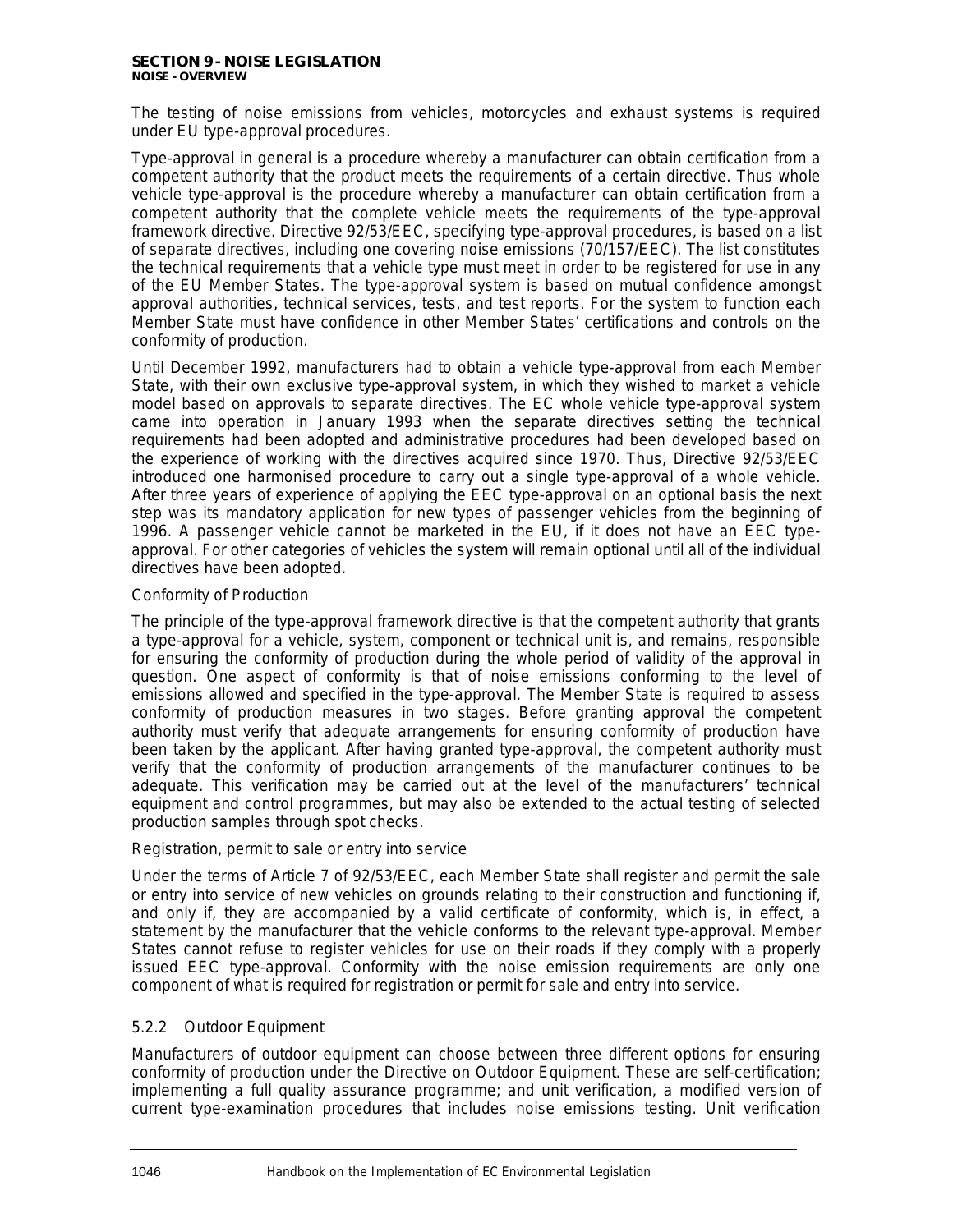The testing of noise emissions from vehicles, motorcycles and exhaust systems is required under EU type-approval procedures.

Type-approval in general is a procedure whereby a manufacturer can obtain certification from a competent authority that the product meets the requirements of a certain directive. Thus whole vehicle type-approval is the procedure whereby a manufacturer can obtain certification from a competent authority that the complete vehicle meets the requirements of the type-approval framework directive. Directive 92/53/EEC, specifying type-approval procedures, is based on a list of separate directives, including one covering noise emissions (70/157/EEC). The list constitutes the technical requirements that a vehicle type must meet in order to be registered for use in any of the EU Member States. The type-approval system is based on mutual confidence amongst approval authorities, technical services, tests, and test reports. For the system to function each Member State must have confidence in other Member States' certifications and controls on the conformity of production.

Until December 1992, manufacturers had to obtain a vehicle type-approval from each Member State, with their own exclusive type-approval system, in which they wished to market a vehicle model based on approvals to separate directives. The EC whole vehicle type-approval system came into operation in January 1993 when the separate directives setting the technical requirements had been adopted and administrative procedures had been developed based on the experience of working with the directives acquired since 1970. Thus, Directive 92/53/EEC introduced one harmonised procedure to carry out a single type-approval of a whole vehicle. After three years of experience of applying the EEC type-approval on an optional basis the next step was its mandatory application for new types of passenger vehicles from the beginning of 1996. A passenger vehicle cannot be marketed in the EU, if it does not have an EEC typeapproval. For other categories of vehicles the system will remain optional until all of the individual directives have been adopted.

#### Conformity of Production

The principle of the type-approval framework directive is that the competent authority that grants a type-approval for a vehicle, system, component or technical unit is, and remains, responsible for ensuring the conformity of production during the whole period of validity of the approval in question. One aspect of conformity is that of noise emissions conforming to the level of emissions allowed and specified in the type-approval. The Member State is required to assess conformity of production measures in two stages. Before granting approval the competent authority must verify that adequate arrangements for ensuring conformity of production have been taken by the applicant. After having granted type-approval, the competent authority must verify that the conformity of production arrangements of the manufacturer continues to be adequate. This verification may be carried out at the level of the manufacturers' technical equipment and control programmes, but may also be extended to the actual testing of selected production samples through spot checks.

#### Registration, permit to sale or entry into service

Under the terms of Article 7 of 92/53/EEC, each Member State shall register and permit the sale or entry into service of new vehicles on grounds relating to their construction and functioning if, and only if, they are accompanied by a valid certificate of conformity, which is, in effect, a statement by the manufacturer that the vehicle conforms to the relevant type-approval. Member States cannot refuse to register vehicles for use on their roads if they comply with a properly issued EEC type-approval. Conformity with the noise emission requirements are only one component of what is required for registration or permit for sale and entry into service.

#### 5.2.2 Outdoor Equipment

Manufacturers of outdoor equipment can choose between three different options for ensuring conformity of production under the Directive on Outdoor Equipment. These are self-certification; implementing a full quality assurance programme; and unit verification, a modified version of current type-examination procedures that includes noise emissions testing. Unit verification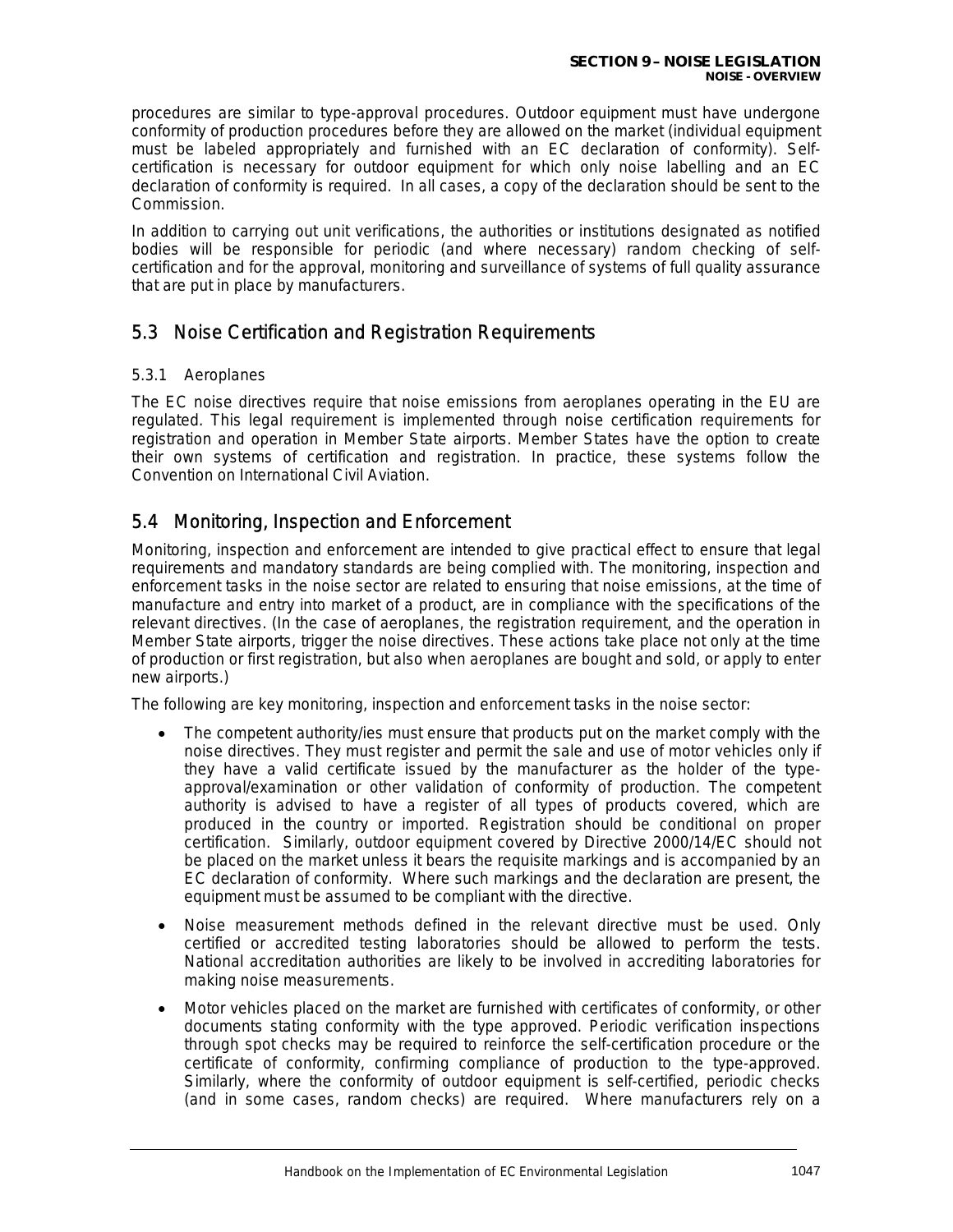procedures are similar to type-approval procedures. Outdoor equipment must have undergone conformity of production procedures before they are allowed on the market (individual equipment must be labeled appropriately and furnished with an EC declaration of conformity). Selfcertification is necessary for outdoor equipment for which only noise labelling and an EC declaration of conformity is required. In all cases, a copy of the declaration should be sent to the Commission.

In addition to carrying out unit verifications, the authorities or institutions designated as notified bodies will be responsible for periodic (and where necessary) random checking of selfcertification and for the approval, monitoring and surveillance of systems of full quality assurance that are put in place by manufacturers.

# 5.3 Noise Certification and Registration Requirements

## 5.3.1 Aeroplanes

The EC noise directives require that noise emissions from aeroplanes operating in the EU are regulated. This legal requirement is implemented through noise certification requirements for registration and operation in Member State airports. Member States have the option to create their own systems of certification and registration. In practice, these systems follow the Convention on International Civil Aviation.

# 5.4 Monitoring, Inspection and Enforcement

Monitoring, inspection and enforcement are intended to give practical effect to ensure that legal requirements and mandatory standards are being complied with. The monitoring, inspection and enforcement tasks in the noise sector are related to ensuring that noise emissions, at the time of manufacture and entry into market of a product, are in compliance with the specifications of the relevant directives. (In the case of aeroplanes, the registration requirement, and the operation in Member State airports, trigger the noise directives. These actions take place not only at the time of production or first registration, but also when aeroplanes are bought and sold, or apply to enter new airports.)

The following are key monitoring, inspection and enforcement tasks in the noise sector:

- The competent authority/ies must ensure that products put on the market comply with the noise directives. They must register and permit the sale and use of motor vehicles only if they have a valid certificate issued by the manufacturer as the holder of the typeapproval/examination or other validation of conformity of production. The competent authority is advised to have a register of all types of products covered, which are produced in the country or imported. Registration should be conditional on proper certification. Similarly, outdoor equipment covered by Directive 2000/14/EC should not be placed on the market unless it bears the requisite markings and is accompanied by an EC declaration of conformity. Where such markings and the declaration are present, the equipment must be assumed to be compliant with the directive.
- Noise measurement methods defined in the relevant directive must be used. Only certified or accredited testing laboratories should be allowed to perform the tests. National accreditation authorities are likely to be involved in accrediting laboratories for making noise measurements.
- Motor vehicles placed on the market are furnished with certificates of conformity, or other documents stating conformity with the type approved. Periodic verification inspections through spot checks may be required to reinforce the self-certification procedure or the certificate of conformity, confirming compliance of production to the type-approved. Similarly, where the conformity of outdoor equipment is self-certified, periodic checks (and in some cases, random checks) are required. Where manufacturers rely on a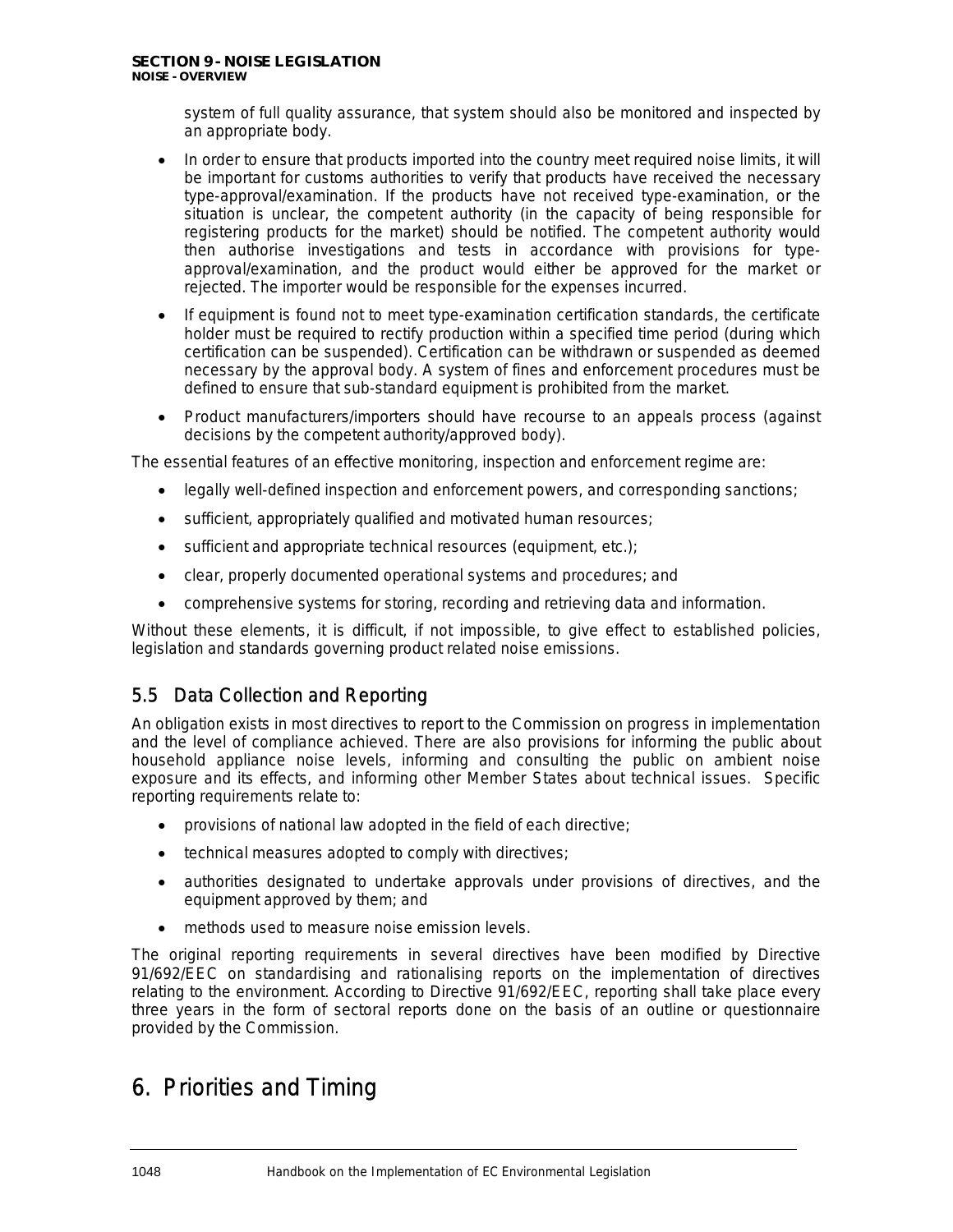system of full quality assurance, that system should also be monitored and inspected by an appropriate body.

- In order to ensure that products imported into the country meet required noise limits, it will be important for customs authorities to verify that products have received the necessary type-approval/examination. If the products have not received type-examination, or the situation is unclear, the competent authority (in the capacity of being responsible for registering products for the market) should be notified. The competent authority would then authorise investigations and tests in accordance with provisions for typeapproval/examination, and the product would either be approved for the market or rejected. The importer would be responsible for the expenses incurred.
- If equipment is found not to meet type-examination certification standards, the certificate holder must be required to rectify production within a specified time period (during which certification can be suspended). Certification can be withdrawn or suspended as deemed necessary by the approval body. A system of fines and enforcement procedures must be defined to ensure that sub-standard equipment is prohibited from the market.
- Product manufacturers/importers should have recourse to an appeals process (against decisions by the competent authority/approved body).

The essential features of an effective monitoring, inspection and enforcement regime are:

- legally well-defined inspection and enforcement powers, and corresponding sanctions;
- sufficient, appropriately qualified and motivated human resources;
- sufficient and appropriate technical resources (equipment, etc.);
- clear, properly documented operational systems and procedures; and
- comprehensive systems for storing, recording and retrieving data and information.

Without these elements, it is difficult, if not impossible, to give effect to established policies, legislation and standards governing product related noise emissions.

# 5.5 Data Collection and Reporting

An obligation exists in most directives to report to the Commission on progress in implementation and the level of compliance achieved. There are also provisions for informing the public about household appliance noise levels, informing and consulting the public on ambient noise exposure and its effects, and informing other Member States about technical issues. Specific reporting requirements relate to:

- provisions of national law adopted in the field of each directive;
- technical measures adopted to comply with directives;
- authorities designated to undertake approvals under provisions of directives, and the equipment approved by them; and
- methods used to measure noise emission levels.

The original reporting requirements in several directives have been modified by Directive 91/692/EEC on standardising and rationalising reports on the implementation of directives relating to the environment. According to Directive 91/692/EEC, reporting shall take place every three years in the form of sectoral reports done on the basis of an outline or questionnaire provided by the Commission.

# 6. Priorities and Timing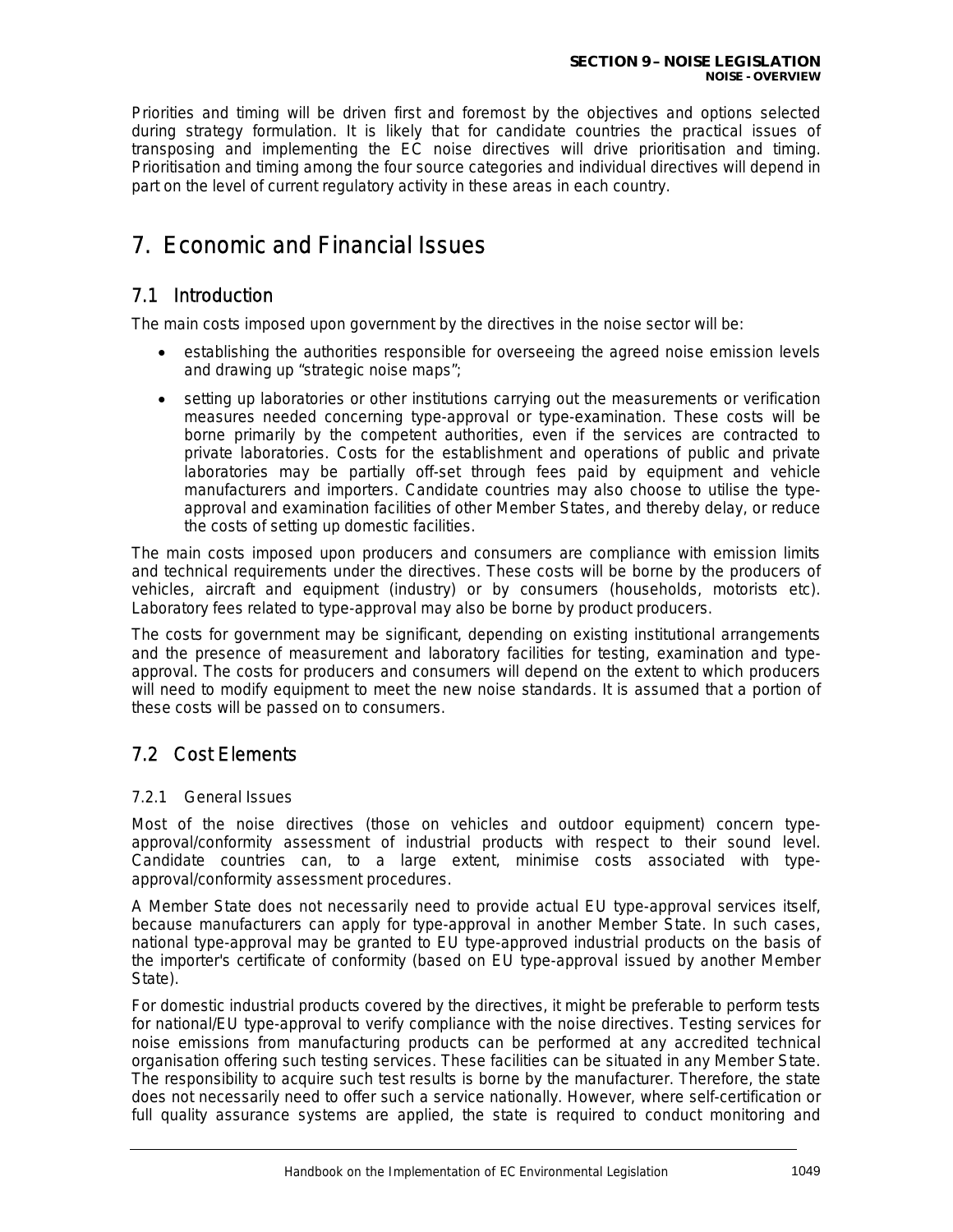Priorities and timing will be driven first and foremost by the objectives and options selected during strategy formulation. It is likely that for candidate countries the practical issues of transposing and implementing the EC noise directives will drive prioritisation and timing. Prioritisation and timing among the four source categories and individual directives will depend in part on the level of current regulatory activity in these areas in each country.

# 7. Economic and Financial Issues

# 7.1 Introduction

The main costs imposed upon government by the directives in the noise sector will be:

- establishing the authorities responsible for overseeing the agreed noise emission levels and drawing up "strategic noise maps";
- setting up laboratories or other institutions carrying out the measurements or verification measures needed concerning type-approval or type-examination. These costs will be borne primarily by the competent authorities, even if the services are contracted to private laboratories. Costs for the establishment and operations of public and private laboratories may be partially off-set through fees paid by equipment and vehicle manufacturers and importers. Candidate countries may also choose to utilise the typeapproval and examination facilities of other Member States, and thereby delay, or reduce the costs of setting up domestic facilities.

The main costs imposed upon producers and consumers are compliance with emission limits and technical requirements under the directives. These costs will be borne by the producers of vehicles, aircraft and equipment (industry) or by consumers (households, motorists etc). Laboratory fees related to type-approval may also be borne by product producers.

The costs for government may be significant, depending on existing institutional arrangements and the presence of measurement and laboratory facilities for testing, examination and typeapproval. The costs for producers and consumers will depend on the extent to which producers will need to modify equipment to meet the new noise standards. It is assumed that a portion of these costs will be passed on to consumers.

# 7.2 Cost Elements

## 7.2.1 General Issues

Most of the noise directives (those on vehicles and outdoor equipment) concern typeapproval/conformity assessment of industrial products with respect to their sound level. Candidate countries can, to a large extent, minimise costs associated with typeapproval/conformity assessment procedures.

A Member State does not necessarily need to provide actual EU type-approval services itself, because manufacturers can apply for type-approval in another Member State. In such cases, national type-approval may be granted to EU type-approved industrial products on the basis of the importer's certificate of conformity (based on EU type-approval issued by another Member State).

For domestic industrial products covered by the directives, it might be preferable to perform tests for national/EU type-approval to verify compliance with the noise directives. Testing services for noise emissions from manufacturing products can be performed at any accredited technical organisation offering such testing services. These facilities can be situated in any Member State. The responsibility to acquire such test results is borne by the manufacturer. Therefore, the state does not necessarily need to offer such a service nationally. However, where self-certification or full quality assurance systems are applied, the state is required to conduct monitoring and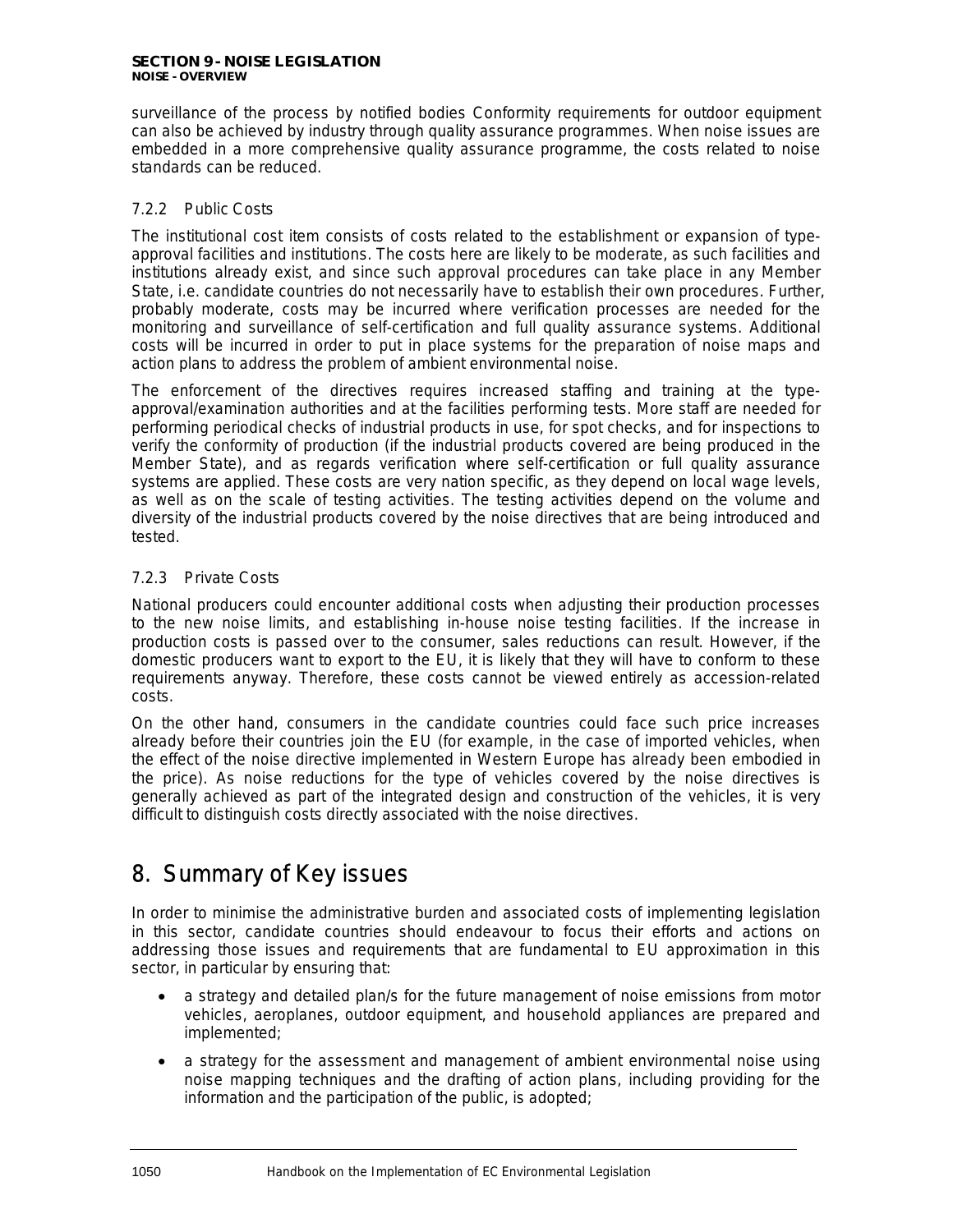surveillance of the process by notified bodies Conformity requirements for outdoor equipment can also be achieved by industry through quality assurance programmes. When noise issues are embedded in a more comprehensive quality assurance programme, the costs related to noise standards can be reduced.

#### 7.2.2 Public Costs

The institutional cost item consists of costs related to the establishment or expansion of typeapproval facilities and institutions. The costs here are likely to be moderate, as such facilities and institutions already exist, and since such approval procedures can take place in any Member State, i.e. candidate countries do not necessarily have to establish their own procedures. Further, probably moderate, costs may be incurred where verification processes are needed for the monitoring and surveillance of self-certification and full quality assurance systems. Additional costs will be incurred in order to put in place systems for the preparation of noise maps and action plans to address the problem of ambient environmental noise.

The enforcement of the directives requires increased staffing and training at the typeapproval/examination authorities and at the facilities performing tests. More staff are needed for performing periodical checks of industrial products in use, for spot checks, and for inspections to verify the conformity of production (if the industrial products covered are being produced in the Member State), and as regards verification where self-certification or full quality assurance systems are applied. These costs are very nation specific, as they depend on local wage levels, as well as on the scale of testing activities. The testing activities depend on the volume and diversity of the industrial products covered by the noise directives that are being introduced and tested.

#### 7.2.3 Private Costs

National producers could encounter additional costs when adjusting their production processes to the new noise limits, and establishing in-house noise testing facilities. If the increase in production costs is passed over to the consumer, sales reductions can result. However, if the domestic producers want to export to the EU, it is likely that they will have to conform to these requirements anyway. Therefore, these costs cannot be viewed entirely as accession-related costs.

On the other hand, consumers in the candidate countries could face such price increases already before their countries join the EU (for example, in the case of imported vehicles, when the effect of the noise directive implemented in Western Europe has already been embodied in the price). As noise reductions for the type of vehicles covered by the noise directives is generally achieved as part of the integrated design and construction of the vehicles, it is very difficult to distinguish costs directly associated with the noise directives.

# 8. Summary of Key issues

In order to minimise the administrative burden and associated costs of implementing legislation in this sector, candidate countries should endeavour to focus their efforts and actions on addressing those issues and requirements that are fundamental to EU approximation in this sector, in particular by ensuring that:

- a strategy and detailed plan/s for the future management of noise emissions from motor vehicles, aeroplanes, outdoor equipment, and household appliances are prepared and implemented;
- a strategy for the assessment and management of ambient environmental noise using noise mapping techniques and the drafting of action plans, including providing for the information and the participation of the public, is adopted;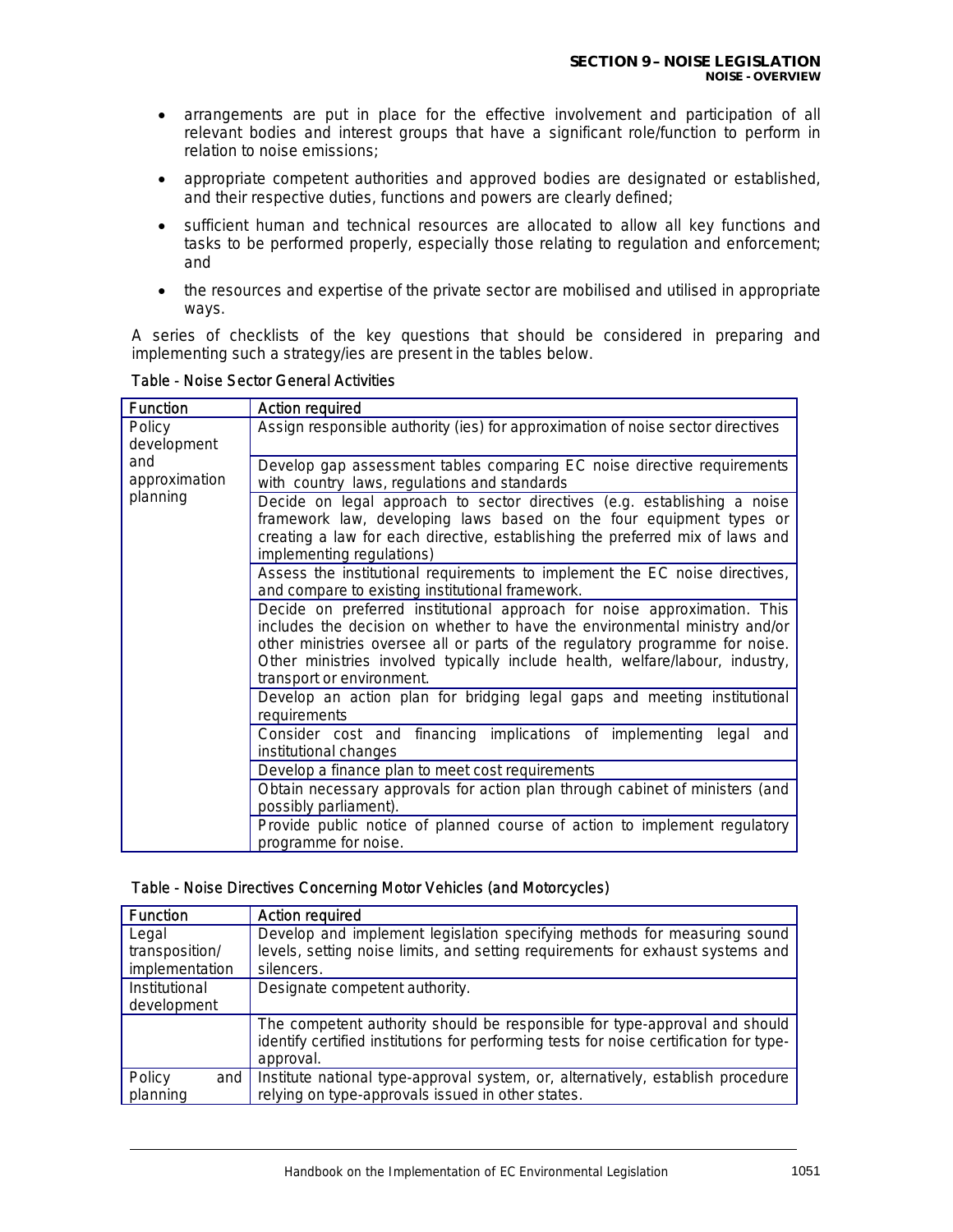- arrangements are put in place for the effective involvement and participation of all relevant bodies and interest groups that have a significant role/function to perform in relation to noise emissions;
- appropriate competent authorities and approved bodies are designated or established, and their respective duties, functions and powers are clearly defined;
- sufficient human and technical resources are allocated to allow all key functions and tasks to be performed properly, especially those relating to regulation and enforcement; and
- the resources and expertise of the private sector are mobilised and utilised in appropriate ways.

A series of checklists of the key questions that should be considered in preparing and implementing such a strategy/ies are present in the tables below.

| <b>Function</b>                  | <b>Action required</b>                                                                                                                                                                                                                                                                                                                                                                                                                                                                                                                                                                                                                                                                                                                                                                                                                                                                                                                                                                                                                                                                                                                                                                                             |
|----------------------------------|--------------------------------------------------------------------------------------------------------------------------------------------------------------------------------------------------------------------------------------------------------------------------------------------------------------------------------------------------------------------------------------------------------------------------------------------------------------------------------------------------------------------------------------------------------------------------------------------------------------------------------------------------------------------------------------------------------------------------------------------------------------------------------------------------------------------------------------------------------------------------------------------------------------------------------------------------------------------------------------------------------------------------------------------------------------------------------------------------------------------------------------------------------------------------------------------------------------------|
| Policy                           | Assign responsible authority (ies) for approximation of noise sector directives                                                                                                                                                                                                                                                                                                                                                                                                                                                                                                                                                                                                                                                                                                                                                                                                                                                                                                                                                                                                                                                                                                                                    |
| development                      |                                                                                                                                                                                                                                                                                                                                                                                                                                                                                                                                                                                                                                                                                                                                                                                                                                                                                                                                                                                                                                                                                                                                                                                                                    |
| and<br>approximation<br>planning | Develop gap assessment tables comparing EC noise directive requirements<br>with country laws, regulations and standards<br>Decide on legal approach to sector directives (e.g. establishing a noise<br>framework law, developing laws based on the four equipment types or<br>creating a law for each directive, establishing the preferred mix of laws and<br>implementing regulations)<br>Assess the institutional requirements to implement the EC noise directives,<br>and compare to existing institutional framework.<br>Decide on preferred institutional approach for noise approximation. This<br>includes the decision on whether to have the environmental ministry and/or<br>other ministries oversee all or parts of the regulatory programme for noise.<br>Other ministries involved typically include health, welfare/labour, industry,<br>transport or environment.<br>Develop an action plan for bridging legal gaps and meeting institutional<br>requirements<br>Consider cost and financing implications of implementing legal and<br>institutional changes<br>Develop a finance plan to meet cost requirements<br>Obtain necessary approvals for action plan through cabinet of ministers (and |
|                                  | possibly parliament).                                                                                                                                                                                                                                                                                                                                                                                                                                                                                                                                                                                                                                                                                                                                                                                                                                                                                                                                                                                                                                                                                                                                                                                              |
|                                  | Provide public notice of planned course of action to implement regulatory<br>programme for noise.                                                                                                                                                                                                                                                                                                                                                                                                                                                                                                                                                                                                                                                                                                                                                                                                                                                                                                                                                                                                                                                                                                                  |

Table - Noise Sector General Activities

#### Table - Noise Directives Concerning Motor Vehicles (and Motorcycles)

| <b>Function</b>              | <b>Action required</b>                                                                                                                                                            |
|------------------------------|-----------------------------------------------------------------------------------------------------------------------------------------------------------------------------------|
| Legal<br>transposition/      | Develop and implement legislation specifying methods for measuring sound<br>levels, setting noise limits, and setting requirements for exhaust systems and                        |
| implementation               | silencers.                                                                                                                                                                        |
| Institutional<br>development | Designate competent authority.                                                                                                                                                    |
|                              | The competent authority should be responsible for type-approval and should<br>identify certified institutions for performing tests for noise certification for type-<br>approval. |
| Policy<br>and I<br>planning  | Institute national type-approval system, or, alternatively, establish procedure<br>relying on type-approvals issued in other states.                                              |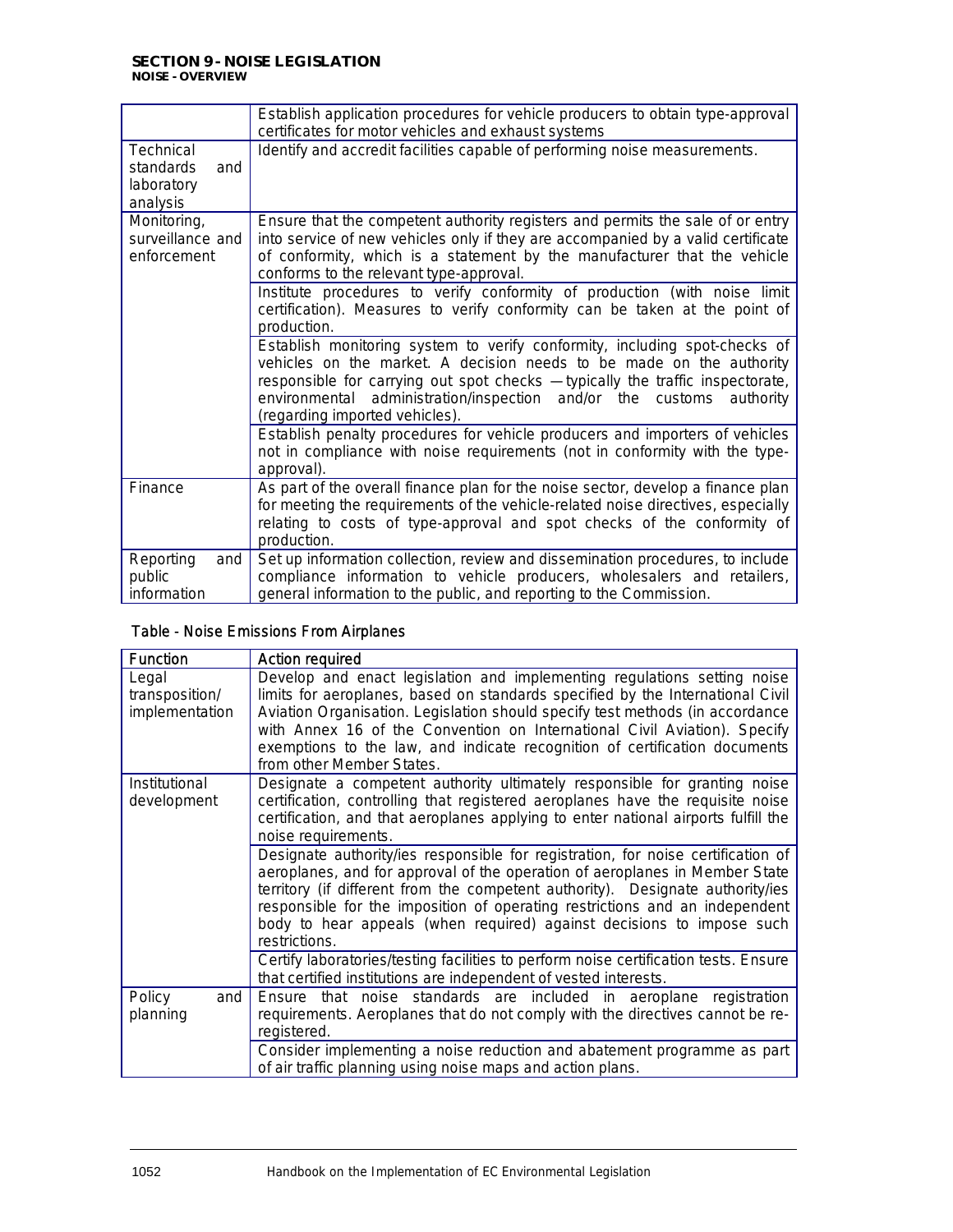|                                                         | Establish application procedures for vehicle producers to obtain type-approval<br>certificates for motor vehicles and exhaust systems                                                                                                                                                                                                          |
|---------------------------------------------------------|------------------------------------------------------------------------------------------------------------------------------------------------------------------------------------------------------------------------------------------------------------------------------------------------------------------------------------------------|
| Technical<br>standards<br>and<br>laboratory<br>analysis | Identify and accredit facilities capable of performing noise measurements.                                                                                                                                                                                                                                                                     |
| Monitoring,<br>surveillance and<br>enforcement          | Ensure that the competent authority registers and permits the sale of or entry<br>into service of new vehicles only if they are accompanied by a valid certificate<br>of conformity, which is a statement by the manufacturer that the vehicle<br>conforms to the relevant type-approval.                                                      |
|                                                         | Institute procedures to verify conformity of production (with noise limit<br>certification). Measures to verify conformity can be taken at the point of<br>production.                                                                                                                                                                         |
|                                                         | Establish monitoring system to verify conformity, including spot-checks of<br>vehicles on the market. A decision needs to be made on the authority<br>responsible for carrying out spot checks - typically the traffic inspectorate,<br>environmental administration/inspection and/or the customs authority<br>(regarding imported vehicles). |
|                                                         | Establish penalty procedures for vehicle producers and importers of vehicles<br>not in compliance with noise requirements (not in conformity with the type-<br>approval).                                                                                                                                                                      |
| Finance                                                 | As part of the overall finance plan for the noise sector, develop a finance plan<br>for meeting the requirements of the vehicle-related noise directives, especially<br>relating to costs of type-approval and spot checks of the conformity of<br>production.                                                                                 |
| Reporting<br>and<br>public<br>information               | Set up information collection, review and dissemination procedures, to include<br>compliance information to vehicle producers, wholesalers and retailers,<br>general information to the public, and reporting to the Commission.                                                                                                               |

# Table - Noise Emissions From Airplanes

| <b>Function</b>                           | <b>Action required</b>                                                                                                                                                                                                                                                                                                                                                                                                              |  |
|-------------------------------------------|-------------------------------------------------------------------------------------------------------------------------------------------------------------------------------------------------------------------------------------------------------------------------------------------------------------------------------------------------------------------------------------------------------------------------------------|--|
| Legal<br>transposition/<br>implementation | Develop and enact legislation and implementing regulations setting noise<br>limits for aeroplanes, based on standards specified by the International Civil<br>Aviation Organisation. Legislation should specify test methods (in accordance<br>with Annex 16 of the Convention on International Civil Aviation). Specify<br>exemptions to the law, and indicate recognition of certification documents<br>from other Member States. |  |
| Institutional<br>development              | Designate a competent authority ultimately responsible for granting noise<br>certification, controlling that registered aeroplanes have the requisite noise<br>certification, and that aeroplanes applying to enter national airports fulfill the<br>noise requirements.                                                                                                                                                            |  |
|                                           | Designate authority/ies responsible for registration, for noise certification of<br>aeroplanes, and for approval of the operation of aeroplanes in Member State<br>territory (if different from the competent authority). Designate authority/ies<br>responsible for the imposition of operating restrictions and an independent<br>body to hear appeals (when required) against decisions to impose such<br>restrictions.          |  |
|                                           | Certify laboratories/testing facilities to perform noise certification tests. Ensure<br>that certified institutions are independent of vested interests.                                                                                                                                                                                                                                                                            |  |
| Policy<br>and<br>planning                 | Ensure that noise standards are included in aeroplane registration<br>requirements. Aeroplanes that do not comply with the directives cannot be re-<br>registered.                                                                                                                                                                                                                                                                  |  |
|                                           | Consider implementing a noise reduction and abatement programme as part<br>of air traffic planning using noise maps and action plans.                                                                                                                                                                                                                                                                                               |  |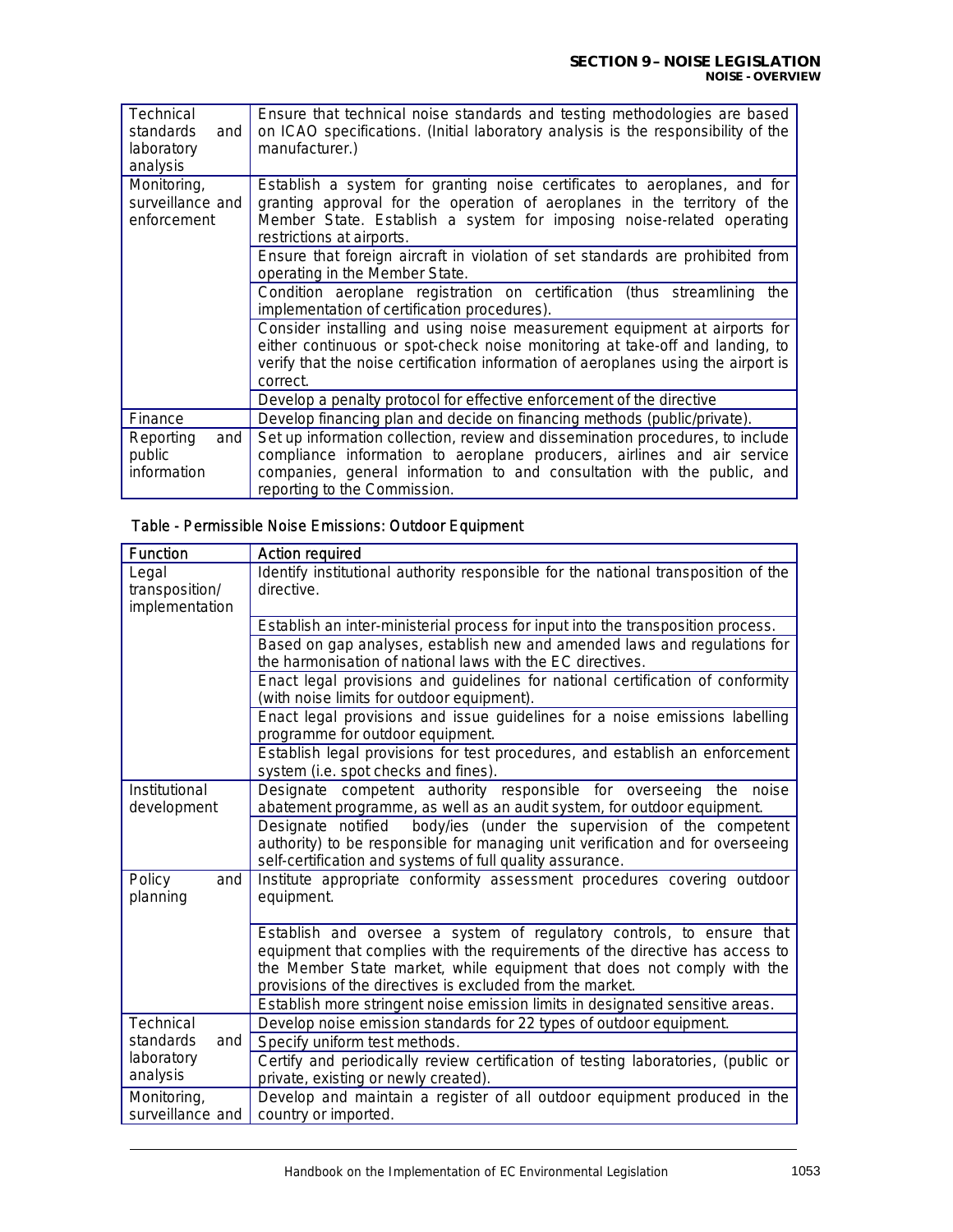| Technical<br>standards<br>and<br>laboratory<br>analysis | Ensure that technical noise standards and testing methodologies are based<br>on ICAO specifications. (Initial laboratory analysis is the responsibility of the<br>manufacturer.)                                                                                     |
|---------------------------------------------------------|----------------------------------------------------------------------------------------------------------------------------------------------------------------------------------------------------------------------------------------------------------------------|
| Monitoring,<br>surveillance and<br>enforcement          | Establish a system for granting noise certificates to aeroplanes, and for<br>granting approval for the operation of aeroplanes in the territory of the<br>Member State. Establish a system for imposing noise-related operating<br>restrictions at airports.         |
|                                                         | Ensure that foreign aircraft in violation of set standards are prohibited from<br>operating in the Member State.                                                                                                                                                     |
|                                                         | Condition aeroplane registration on certification (thus streamlining the<br>implementation of certification procedures).                                                                                                                                             |
|                                                         | Consider installing and using noise measurement equipment at airports for<br>either continuous or spot-check noise monitoring at take-off and landing, to<br>verify that the noise certification information of aeroplanes using the airport is<br>correct.          |
|                                                         | Develop a penalty protocol for effective enforcement of the directive                                                                                                                                                                                                |
| Finance                                                 | Develop financing plan and decide on financing methods (public/private).                                                                                                                                                                                             |
| Reporting<br>and<br>public<br>information               | Set up information collection, review and dissemination procedures, to include<br>compliance information to aeroplane producers, airlines and air service<br>companies, general information to and consultation with the public, and<br>reporting to the Commission. |

# Table - Permissible Noise Emissions: Outdoor Equipment

| <b>Function</b>                 | <b>Action required</b>                                                                                                                                                                                                                                                                       |
|---------------------------------|----------------------------------------------------------------------------------------------------------------------------------------------------------------------------------------------------------------------------------------------------------------------------------------------|
| Legal                           | Identify institutional authority responsible for the national transposition of the                                                                                                                                                                                                           |
| transposition/                  | directive.                                                                                                                                                                                                                                                                                   |
| implementation                  |                                                                                                                                                                                                                                                                                              |
|                                 | Establish an inter-ministerial process for input into the transposition process.                                                                                                                                                                                                             |
|                                 | Based on gap analyses, establish new and amended laws and regulations for<br>the harmonisation of national laws with the EC directives.                                                                                                                                                      |
|                                 | Enact legal provisions and guidelines for national certification of conformity<br>(with noise limits for outdoor equipment).                                                                                                                                                                 |
|                                 | Enact legal provisions and issue guidelines for a noise emissions labelling<br>programme for outdoor equipment.                                                                                                                                                                              |
|                                 | Establish legal provisions for test procedures, and establish an enforcement<br>system (i.e. spot checks and fines).                                                                                                                                                                         |
| Institutional<br>development    | Designate competent authority responsible for overseeing<br>the noise<br>abatement programme, as well as an audit system, for outdoor equipment.                                                                                                                                             |
|                                 | body/ies (under the supervision of the competent<br>Designate notified<br>authority) to be responsible for managing unit verification and for overseeing<br>self-certification and systems of full quality assurance.                                                                        |
| Policy<br>and<br>planning       | Institute appropriate conformity assessment procedures covering outdoor<br>equipment.                                                                                                                                                                                                        |
|                                 | Establish and oversee a system of regulatory controls, to ensure that<br>equipment that complies with the requirements of the directive has access to<br>the Member State market, while equipment that does not comply with the<br>provisions of the directives is excluded from the market. |
|                                 | Establish more stringent noise emission limits in designated sensitive areas.                                                                                                                                                                                                                |
| Technical                       | Develop noise emission standards for 22 types of outdoor equipment.                                                                                                                                                                                                                          |
| standards<br>and                | Specify uniform test methods.                                                                                                                                                                                                                                                                |
| laboratory<br>analysis          | Certify and periodically review certification of testing laboratories, (public or<br>private, existing or newly created).                                                                                                                                                                    |
| Monitoring,<br>surveillance and | Develop and maintain a register of all outdoor equipment produced in the<br>country or imported.                                                                                                                                                                                             |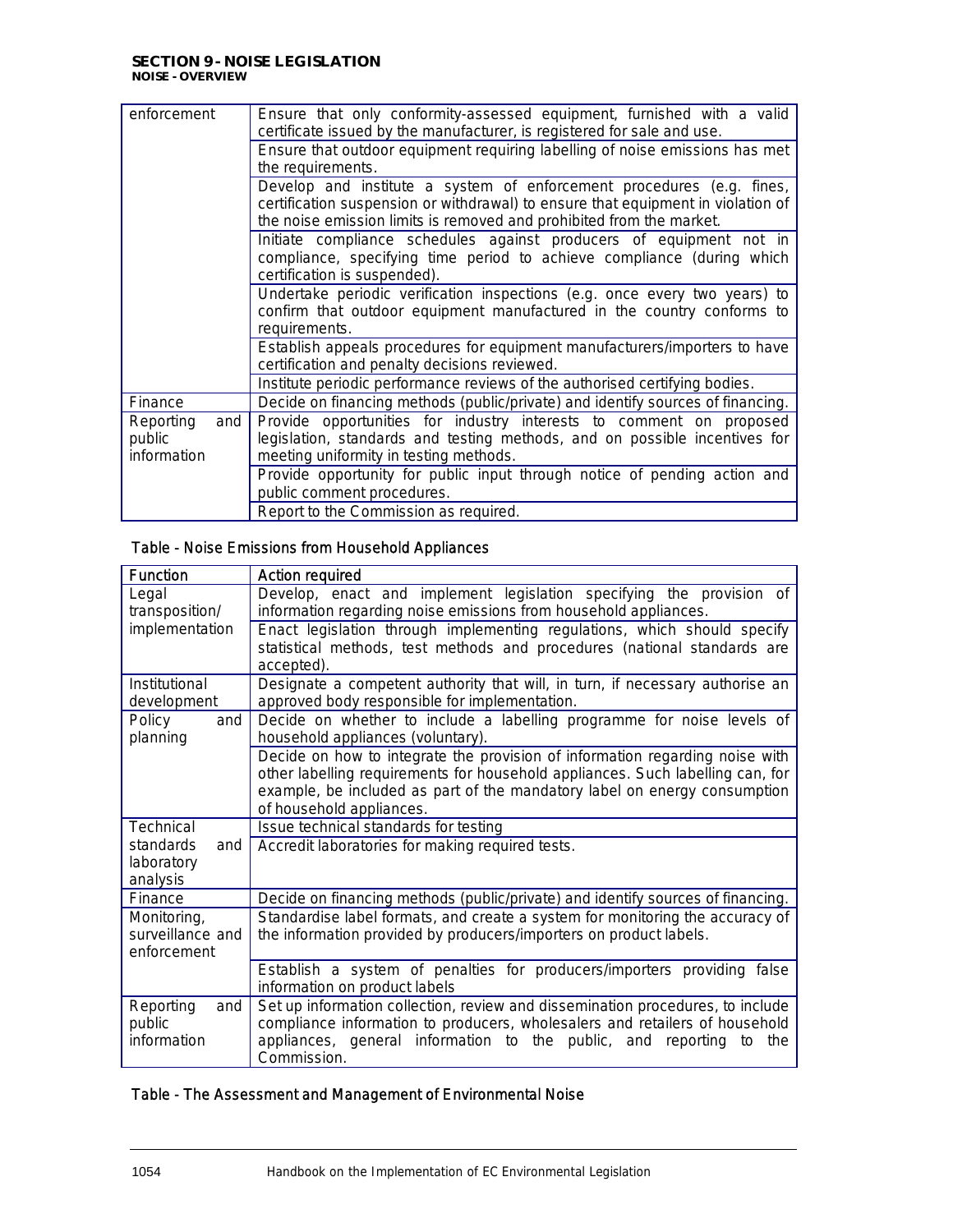| enforcement                                                                                       | Ensure that only conformity-assessed equipment, furnished with a valid<br>certificate issued by the manufacturer, is registered for sale and use.                                                                                 |  |  |  |
|---------------------------------------------------------------------------------------------------|-----------------------------------------------------------------------------------------------------------------------------------------------------------------------------------------------------------------------------------|--|--|--|
| Ensure that outdoor equipment requiring labelling of noise emissions has met<br>the requirements. |                                                                                                                                                                                                                                   |  |  |  |
|                                                                                                   | Develop and institute a system of enforcement procedures (e.g. fines,<br>certification suspension or withdrawal) to ensure that equipment in violation of<br>the noise emission limits is removed and prohibited from the market. |  |  |  |
|                                                                                                   | Initiate compliance schedules against producers of equipment not in<br>compliance, specifying time period to achieve compliance (during which<br>certification is suspended).                                                     |  |  |  |
|                                                                                                   | Undertake periodic verification inspections (e.g. once every two years) to<br>confirm that outdoor equipment manufactured in the country conforms to<br>requirements.                                                             |  |  |  |
|                                                                                                   | Establish appeals procedures for equipment manufacturers/importers to have<br>certification and penalty decisions reviewed.                                                                                                       |  |  |  |
|                                                                                                   | Institute periodic performance reviews of the authorised certifying bodies.                                                                                                                                                       |  |  |  |
| Finance                                                                                           | Decide on financing methods (public/private) and identify sources of financing.                                                                                                                                                   |  |  |  |
| Reporting<br>and<br>public<br>information                                                         | Provide opportunities for industry interests to comment on proposed<br>legislation, standards and testing methods, and on possible incentives for<br>meeting uniformity in testing methods.                                       |  |  |  |
|                                                                                                   | Provide opportunity for public input through notice of pending action and<br>public comment procedures.                                                                                                                           |  |  |  |
|                                                                                                   | Report to the Commission as required.                                                                                                                                                                                             |  |  |  |

## Table - Noise Emissions from Household Appliances

| <b>Function</b>                                | <b>Action required</b>                                                                                                                                                                                                                                                  |
|------------------------------------------------|-------------------------------------------------------------------------------------------------------------------------------------------------------------------------------------------------------------------------------------------------------------------------|
| Legal<br>transposition/                        | Develop, enact and implement legislation specifying the provision of<br>information regarding noise emissions from household appliances.                                                                                                                                |
| implementation                                 | Enact legislation through implementing regulations, which should specify<br>statistical methods, test methods and procedures (national standards are<br>accepted).                                                                                                      |
| Institutional<br>development                   | Designate a competent authority that will, in turn, if necessary authorise an<br>approved body responsible for implementation.                                                                                                                                          |
| Policy<br>and<br>planning                      | Decide on whether to include a labelling programme for noise levels of<br>household appliances (voluntary).                                                                                                                                                             |
|                                                | Decide on how to integrate the provision of information regarding noise with<br>other labelling requirements for household appliances. Such labelling can, for<br>example, be included as part of the mandatory label on energy consumption<br>of household appliances. |
| Technical                                      | Issue technical standards for testing                                                                                                                                                                                                                                   |
| standards<br>and<br>laboratory<br>analysis     | Accredit laboratories for making required tests.                                                                                                                                                                                                                        |
| Finance                                        | Decide on financing methods (public/private) and identify sources of financing.                                                                                                                                                                                         |
| Monitoring,<br>surveillance and<br>enforcement | Standardise label formats, and create a system for monitoring the accuracy of<br>the information provided by producers/importers on product labels.                                                                                                                     |
|                                                | Establish a system of penalties for producers/importers providing false<br>information on product labels                                                                                                                                                                |
| Reporting<br>and<br>public<br>information      | Set up information collection, review and dissemination procedures, to include<br>compliance information to producers, wholesalers and retailers of household<br>appliances, general information to the public, and reporting<br>to<br>the<br>Commission.               |

## Table - The Assessment and Management of Environmental Noise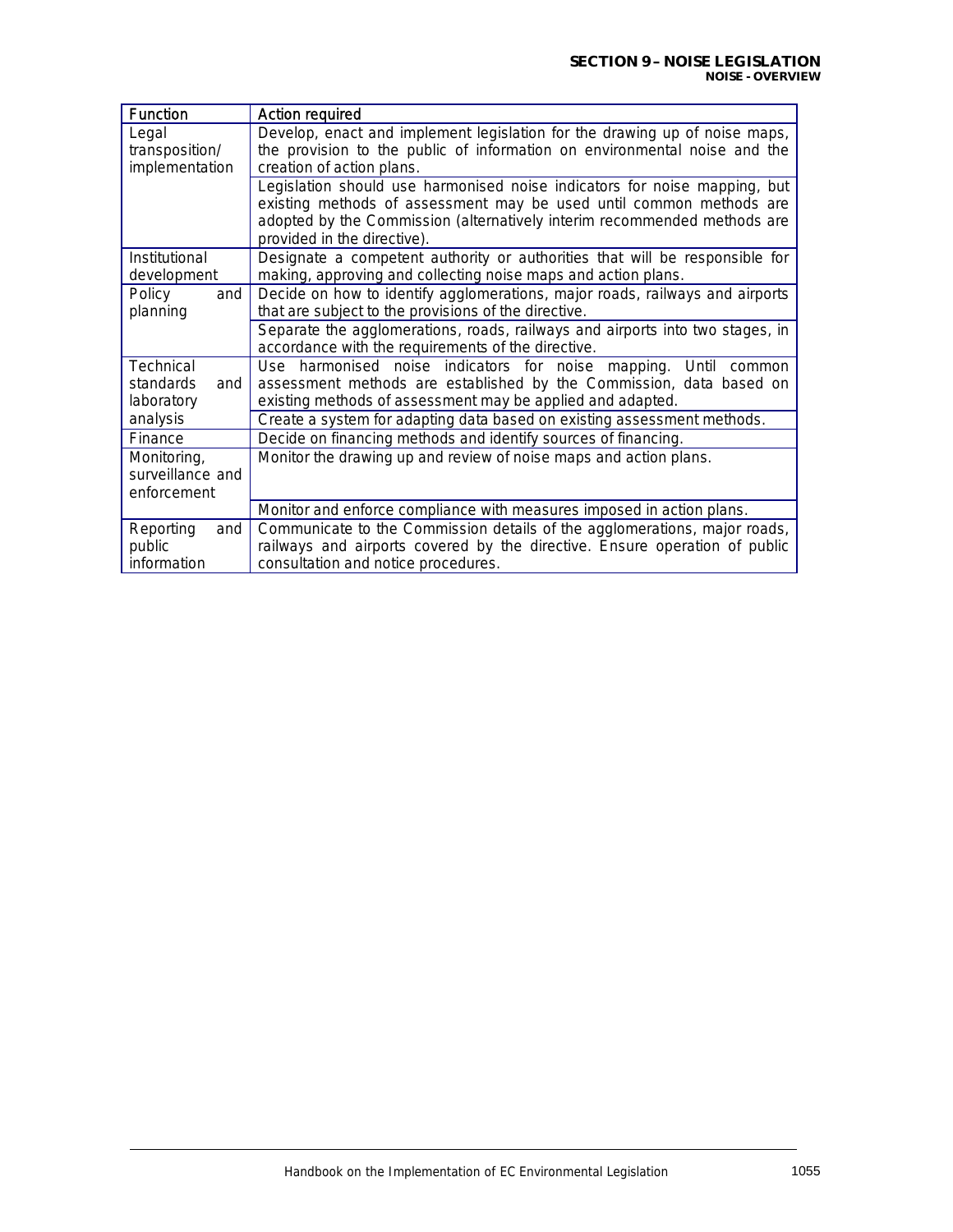| <b>Function</b>  | <b>Action required</b>                                                                                                                                                                                                                                      |
|------------------|-------------------------------------------------------------------------------------------------------------------------------------------------------------------------------------------------------------------------------------------------------------|
| Legal            | Develop, enact and implement legislation for the drawing up of noise maps,                                                                                                                                                                                  |
| transposition/   | the provision to the public of information on environmental noise and the                                                                                                                                                                                   |
| implementation   | creation of action plans.                                                                                                                                                                                                                                   |
|                  | Legislation should use harmonised noise indicators for noise mapping, but<br>existing methods of assessment may be used until common methods are<br>adopted by the Commission (alternatively interim recommended methods are<br>provided in the directive). |
| Institutional    | Designate a competent authority or authorities that will be responsible for                                                                                                                                                                                 |
| development      | making, approving and collecting noise maps and action plans.                                                                                                                                                                                               |
| and<br>Policy    | Decide on how to identify agglomerations, major roads, railways and airports                                                                                                                                                                                |
| planning         | that are subject to the provisions of the directive.                                                                                                                                                                                                        |
|                  | Separate the agglomerations, roads, railways and airports into two stages, in<br>accordance with the requirements of the directive.                                                                                                                         |
| Technical        | Use harmonised noise indicators for noise mapping. Until common                                                                                                                                                                                             |
| standards<br>and | assessment methods are established by the Commission, data based on                                                                                                                                                                                         |
| laboratory       | existing methods of assessment may be applied and adapted.                                                                                                                                                                                                  |
| analysis         | Create a system for adapting data based on existing assessment methods.                                                                                                                                                                                     |
| Finance          | Decide on financing methods and identify sources of financing.                                                                                                                                                                                              |
| Monitoring,      | Monitor the drawing up and review of noise maps and action plans.                                                                                                                                                                                           |
| surveillance and |                                                                                                                                                                                                                                                             |
| enforcement      |                                                                                                                                                                                                                                                             |
|                  | Monitor and enforce compliance with measures imposed in action plans.                                                                                                                                                                                       |
| Reporting<br>and | Communicate to the Commission details of the agglomerations, major roads,                                                                                                                                                                                   |
| public           | railways and airports covered by the directive. Ensure operation of public                                                                                                                                                                                  |
| information      | consultation and notice procedures.                                                                                                                                                                                                                         |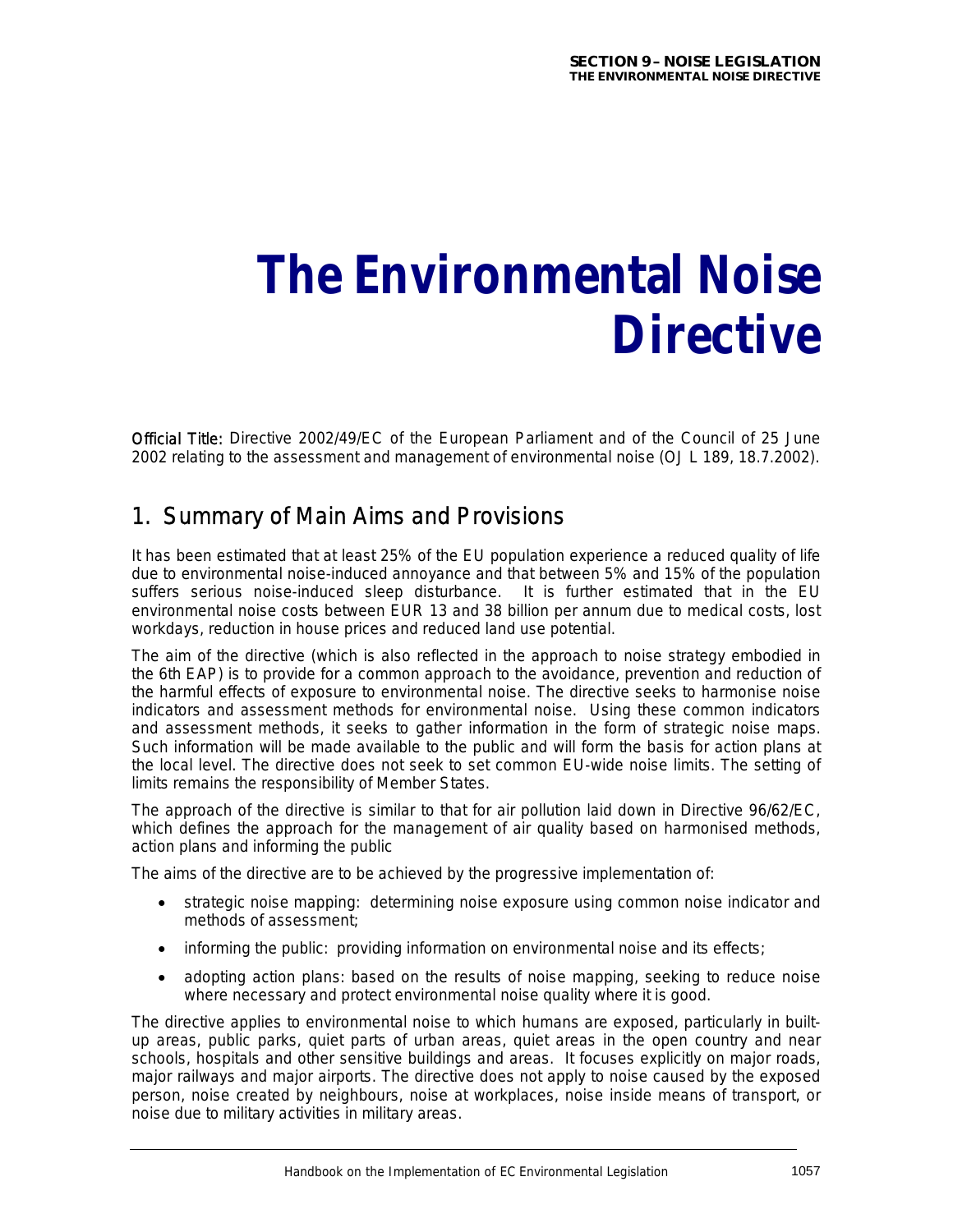# <span id="page-30-0"></span>**The Environmental Noise Directive**

Official Title: Directive 2002/49/EC of the European Parliament and of the Council of 25 June 2002 relating to the assessment and management of environmental noise (OJ L 189, 18.7.2002).

# 1. Summary of Main Aims and Provisions

It has been estimated that at least 25% of the EU population experience a reduced quality of life due to environmental noise-induced annoyance and that between 5% and 15% of the population suffers serious noise-induced sleep disturbance. It is further estimated that in the EU environmental noise costs between EUR 13 and 38 billion per annum due to medical costs, lost workdays, reduction in house prices and reduced land use potential.

The aim of the directive (which is also reflected in the approach to noise strategy embodied in the 6th EAP) is to provide for a common approach to the avoidance, prevention and reduction of the harmful effects of exposure to environmental noise. The directive seeks to harmonise noise indicators and assessment methods for environmental noise. Using these common indicators and assessment methods, it seeks to gather information in the form of strategic noise maps. Such information will be made available to the public and will form the basis for action plans at the local level. The directive does not seek to set common EU-wide noise limits. The setting of limits remains the responsibility of Member States.

The approach of the directive is similar to that for air pollution laid down in Directive 96/62/EC, which defines the approach for the management of air quality based on harmonised methods, action plans and informing the public

The aims of the directive are to be achieved by the progressive implementation of:

- strategic noise mapping: determining noise exposure using common noise indicator and methods of assessment;
- informing the public: providing information on environmental noise and its effects;
- adopting action plans: based on the results of noise mapping, seeking to reduce noise where necessary and protect environmental noise quality where it is good.

The directive applies to environmental noise to which humans are exposed, particularly in builtup areas, public parks, quiet parts of urban areas, quiet areas in the open country and near schools, hospitals and other sensitive buildings and areas. It focuses explicitly on major roads, major railways and major airports. The directive does not apply to noise caused by the exposed person, noise created by neighbours, noise at workplaces, noise inside means of transport, or noise due to military activities in military areas.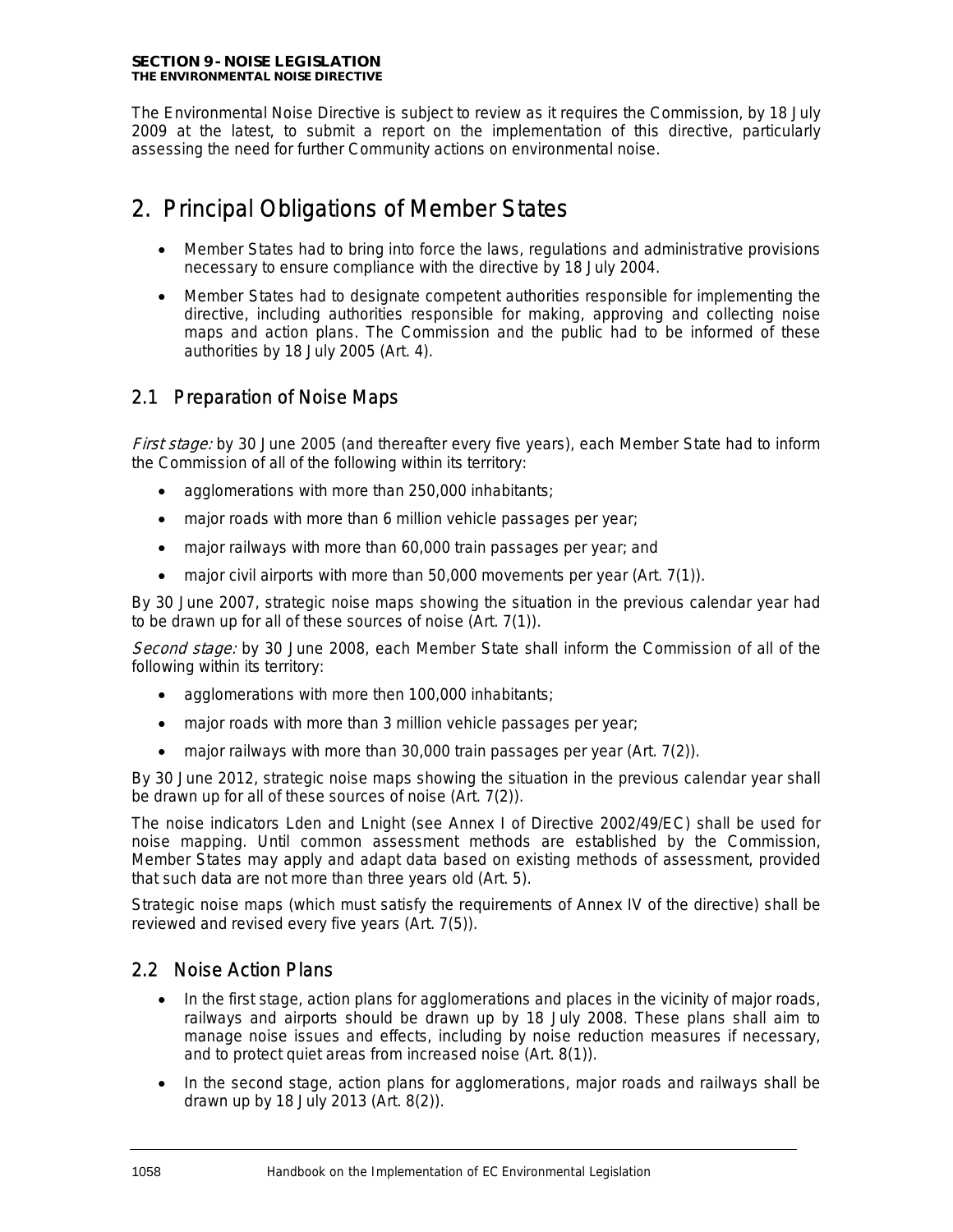The Environmental Noise Directive is subject to review as it requires the Commission, by 18 July 2009 at the latest, to submit a report on the implementation of this directive, particularly assessing the need for further Community actions on environmental noise.

# 2. Principal Obligations of Member States

- Member States had to bring into force the laws, regulations and administrative provisions necessary to ensure compliance with the directive by 18 July 2004.
- Member States had to designate competent authorities responsible for implementing the directive, including authorities responsible for making, approving and collecting noise maps and action plans. The Commission and the public had to be informed of these authorities by 18 July 2005 (Art. 4).

# 2.1 Preparation of Noise Maps

First stage: by 30 June 2005 (and thereafter every five years), each Member State had to inform the Commission of all of the following within its territory:

- agglomerations with more than 250,000 inhabitants;
- major roads with more than 6 million vehicle passages per year;
- major railways with more than 60,000 train passages per year; and
- major civil airports with more than 50,000 movements per year (Art. 7(1)).

By 30 June 2007, strategic noise maps showing the situation in the previous calendar year had to be drawn up for all of these sources of noise (Art. 7(1)).

Second stage: by 30 June 2008, each Member State shall inform the Commission of all of the following within its territory:

- agglomerations with more then 100,000 inhabitants;
- major roads with more than 3 million vehicle passages per year;
- major railways with more than 30,000 train passages per year (Art. 7(2)).

By 30 June 2012, strategic noise maps showing the situation in the previous calendar year shall be drawn up for all of these sources of noise (Art. 7(2)).

The noise indicators Lden and Lnight (see Annex I of Directive 2002/49/EC) shall be used for noise mapping. Until common assessment methods are established by the Commission, Member States may apply and adapt data based on existing methods of assessment, provided that such data are not more than three years old (Art. 5).

Strategic noise maps (which must satisfy the requirements of Annex IV of the directive) shall be reviewed and revised every five years (Art. 7(5)).

# 2.2 Noise Action Plans

- In the first stage, action plans for agglomerations and places in the vicinity of major roads, railways and airports should be drawn up by 18 July 2008. These plans shall aim to manage noise issues and effects, including by noise reduction measures if necessary, and to protect quiet areas from increased noise (Art. 8(1)).
- In the second stage, action plans for agglomerations, major roads and railways shall be drawn up by 18 July 2013 (Art. 8(2)).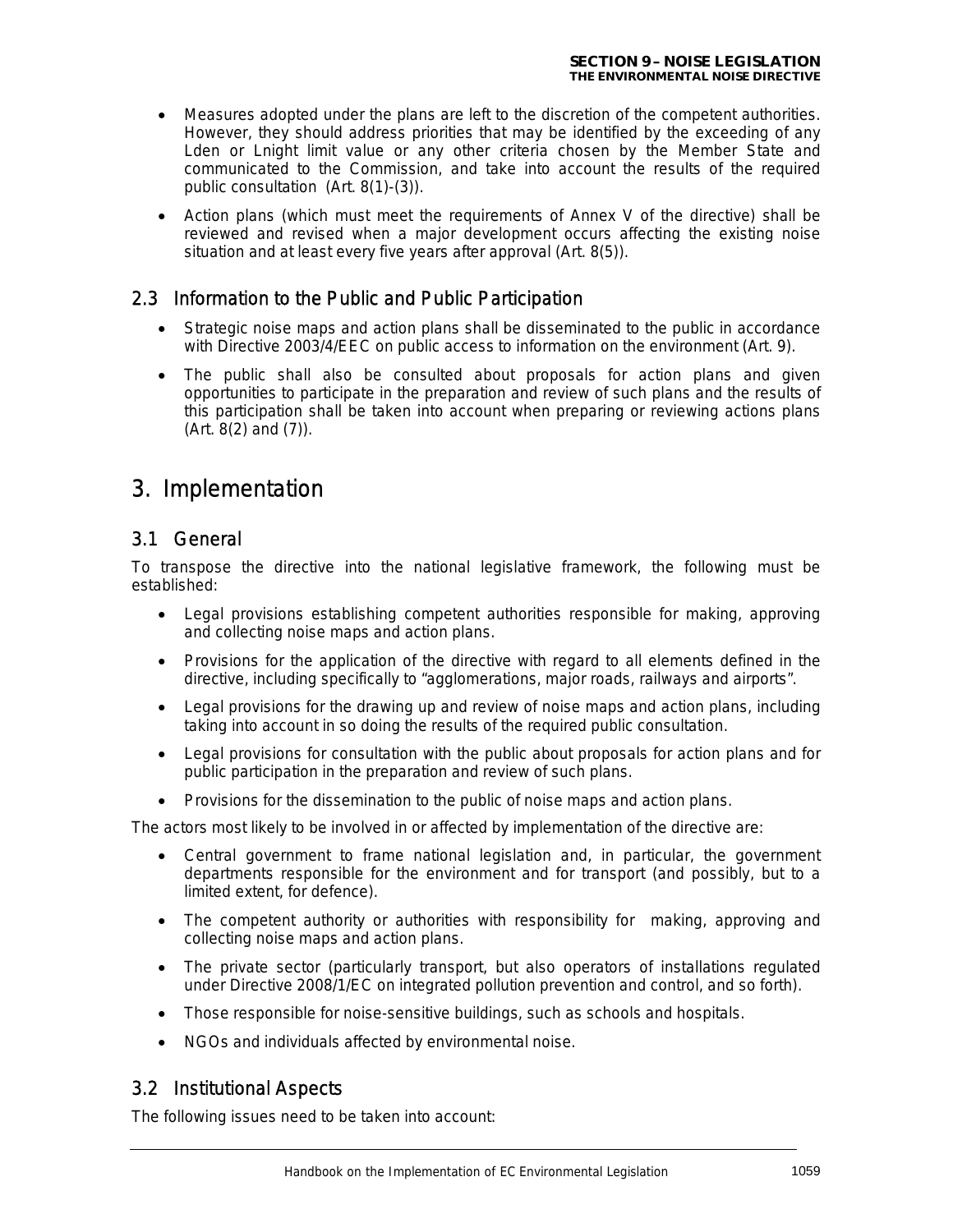- Measures adopted under the plans are left to the discretion of the competent authorities. However, they should address priorities that may be identified by the exceeding of any Lden or Lnight limit value or any other criteria chosen by the Member State and communicated to the Commission, and take into account the results of the required public consultation (Art. 8(1)-(3)).
- Action plans (which must meet the requirements of Annex V of the directive) shall be reviewed and revised when a major development occurs affecting the existing noise situation and at least every five years after approval (Art. 8(5)).

## 2.3 Information to the Public and Public Participation

- Strategic noise maps and action plans shall be disseminated to the public in accordance with Directive 2003/4/EEC on public access to information on the environment (Art. 9).
- The public shall also be consulted about proposals for action plans and given opportunities to participate in the preparation and review of such plans and the results of this participation shall be taken into account when preparing or reviewing actions plans (Art. 8(2) and (7)).

# 3. Implementation

## 3.1 General

To transpose the directive into the national legislative framework, the following must be established:

- Legal provisions establishing competent authorities responsible for making, approving and collecting noise maps and action plans.
- Provisions for the application of the directive with regard to all elements defined in the directive, including specifically to "agglomerations, major roads, railways and airports".
- Legal provisions for the drawing up and review of noise maps and action plans, including taking into account in so doing the results of the required public consultation.
- Legal provisions for consultation with the public about proposals for action plans and for public participation in the preparation and review of such plans.
- Provisions for the dissemination to the public of noise maps and action plans.

The actors most likely to be involved in or affected by implementation of the directive are:

- Central government to frame national legislation and, in particular, the government departments responsible for the environment and for transport (and possibly, but to a limited extent, for defence).
- The competent authority or authorities with responsibility for making, approving and collecting noise maps and action plans.
- The private sector (particularly transport, but also operators of installations regulated under Directive 2008/1/EC on integrated pollution prevention and control, and so forth).
- Those responsible for noise-sensitive buildings, such as schools and hospitals.
- NGOs and individuals affected by environmental noise.

## 3.2 Institutional Aspects

The following issues need to be taken into account: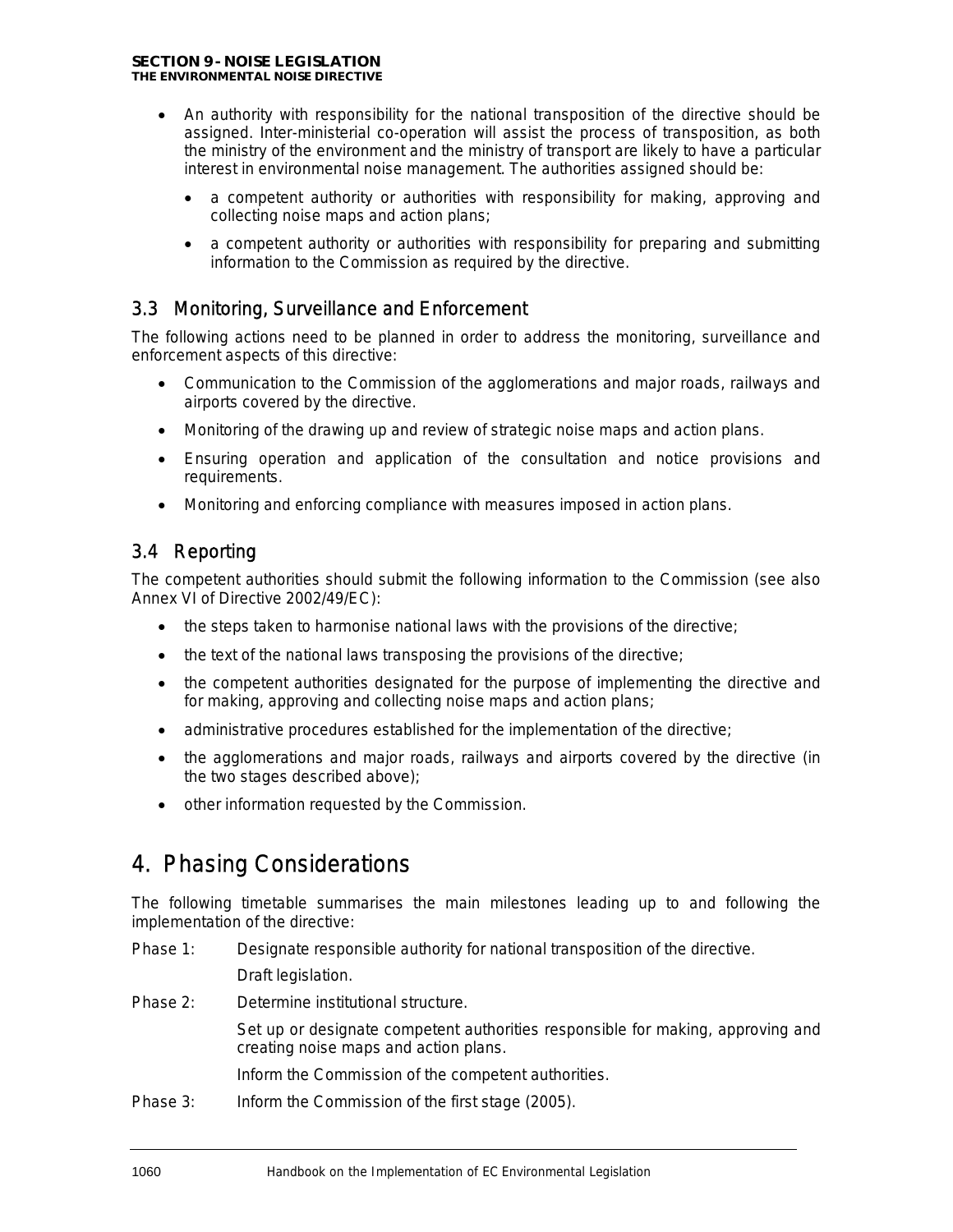- An authority with responsibility for the national transposition of the directive should be assigned. Inter-ministerial co-operation will assist the process of transposition, as both the ministry of the environment and the ministry of transport are likely to have a particular interest in environmental noise management. The authorities assigned should be:
	- a competent authority or authorities with responsibility for making, approving and collecting noise maps and action plans;
	- a competent authority or authorities with responsibility for preparing and submitting information to the Commission as required by the directive.

## 3.3 Monitoring, Surveillance and Enforcement

The following actions need to be planned in order to address the monitoring, surveillance and enforcement aspects of this directive:

- Communication to the Commission of the agglomerations and major roads, railways and airports covered by the directive.
- Monitoring of the drawing up and review of strategic noise maps and action plans.
- Ensuring operation and application of the consultation and notice provisions and requirements.
- Monitoring and enforcing compliance with measures imposed in action plans.

# 3.4 Reporting

The competent authorities should submit the following information to the Commission (see also Annex VI of Directive 2002/49/EC):

- the steps taken to harmonise national laws with the provisions of the directive;
- the text of the national laws transposing the provisions of the directive;
- the competent authorities designated for the purpose of implementing the directive and for making, approving and collecting noise maps and action plans;
- administrative procedures established for the implementation of the directive;
- the agglomerations and major roads, railways and airports covered by the directive (in the two stages described above);
- other information requested by the Commission.

# 4. Phasing Considerations

The following timetable summarises the main milestones leading up to and following the implementation of the directive:

- Phase 1: Designate responsible authority for national transposition of the directive. Draft legislation.
- Phase 2: Determine institutional structure.

Set up or designate competent authorities responsible for making, approving and creating noise maps and action plans.

Inform the Commission of the competent authorities.

Phase 3: Inform the Commission of the first stage (2005).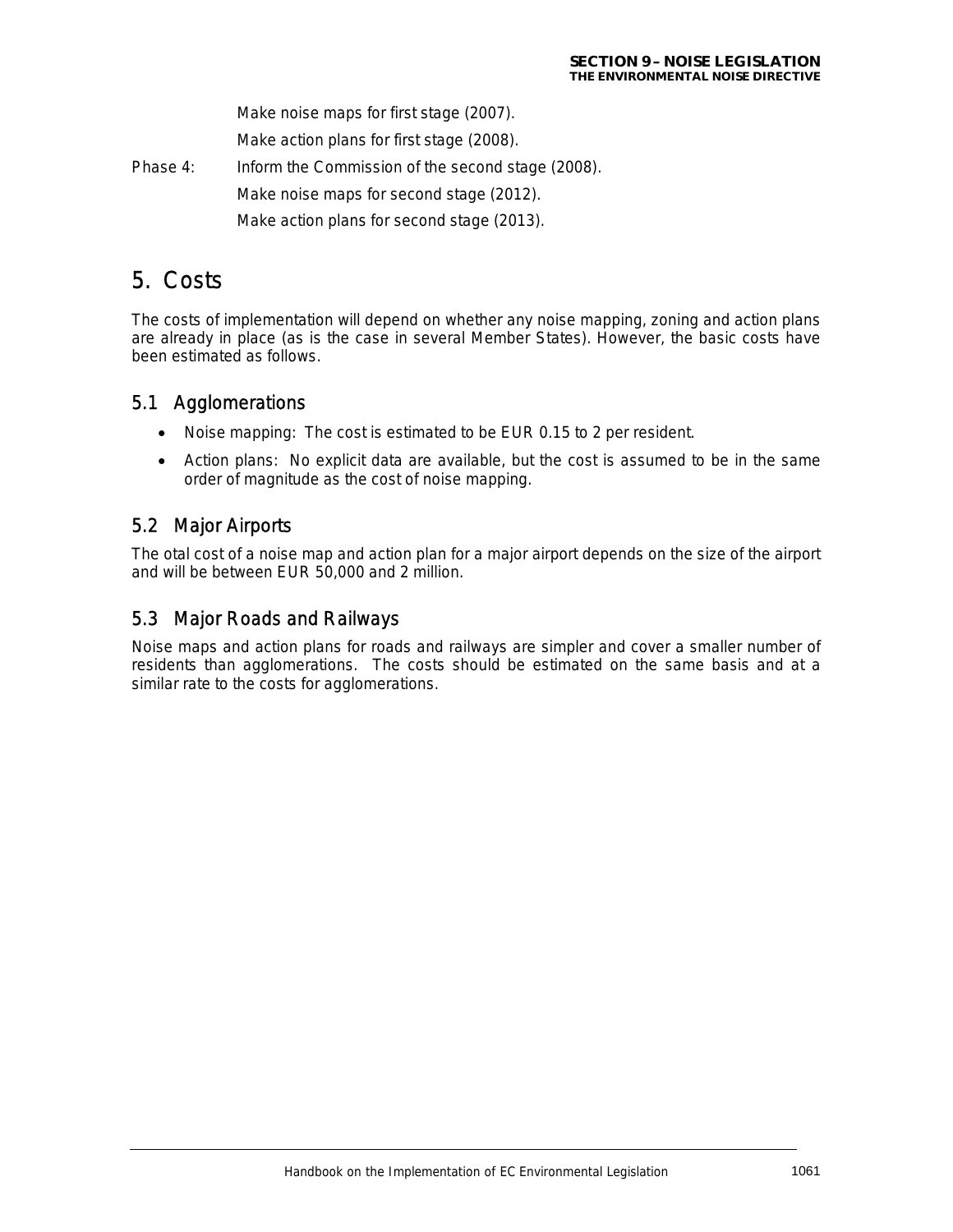Make noise maps for first stage (2007).

Make action plans for first stage (2008).

Phase 4: Inform the Commission of the second stage (2008). Make noise maps for second stage (2012). Make action plans for second stage (2013).

# 5. Costs

The costs of implementation will depend on whether any noise mapping, zoning and action plans are already in place (as is the case in several Member States). However, the basic costs have been estimated as follows.

# 5.1 Agglomerations

- Noise mapping: The cost is estimated to be EUR 0.15 to 2 per resident.
- Action plans: No explicit data are available, but the cost is assumed to be in the same order of magnitude as the cost of noise mapping.

# 5.2 Major Airports

The otal cost of a noise map and action plan for a major airport depends on the size of the airport and will be between EUR 50,000 and 2 million.

## 5.3 Major Roads and Railways

Noise maps and action plans for roads and railways are simpler and cover a smaller number of residents than agglomerations. The costs should be estimated on the same basis and at a similar rate to the costs for agglomerations.